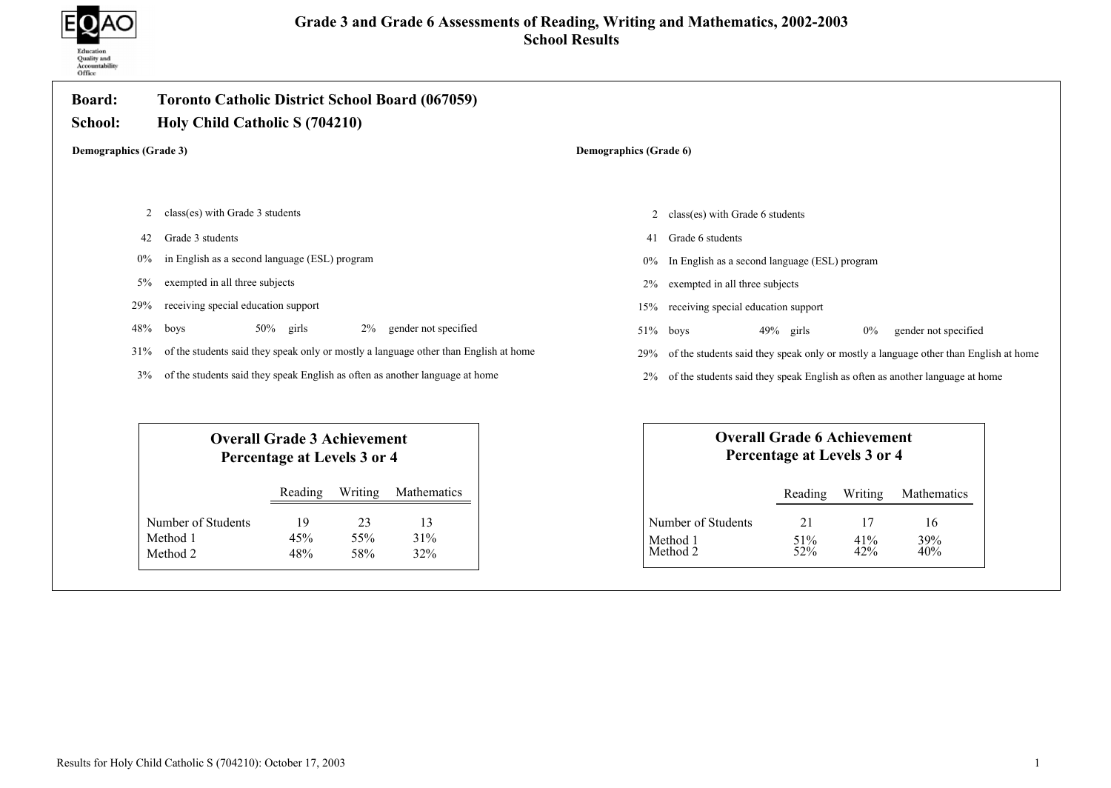

| <b>Board:</b><br>School: | <b>Toronto Catholic District School Board (067059)</b><br>Holy Child Catholic S (704210) |                                                                   |                  |                        |       |                                               |                                                                   |                  |                                                                                      |  |
|--------------------------|------------------------------------------------------------------------------------------|-------------------------------------------------------------------|------------------|------------------------|-------|-----------------------------------------------|-------------------------------------------------------------------|------------------|--------------------------------------------------------------------------------------|--|
|                          | <b>Demographics (Grade 3)</b>                                                            |                                                                   |                  | Demographics (Grade 6) |       |                                               |                                                                   |                  |                                                                                      |  |
|                          |                                                                                          |                                                                   |                  |                        |       |                                               |                                                                   |                  |                                                                                      |  |
| 2                        | class(es) with Grade 3 students                                                          |                                                                   |                  |                        |       | class(es) with Grade 6 students<br>2          |                                                                   |                  |                                                                                      |  |
| 42                       | Grade 3 students                                                                         |                                                                   |                  |                        | 41    | Grade 6 students                              |                                                                   |                  |                                                                                      |  |
| $0\%$                    | in English as a second language (ESL) program                                            |                                                                   |                  |                        | $0\%$ | In English as a second language (ESL) program |                                                                   |                  |                                                                                      |  |
| $5\%$                    | exempted in all three subjects                                                           |                                                                   |                  |                        | 2%    | exempted in all three subjects                |                                                                   |                  |                                                                                      |  |
| 29%                      | receiving special education support                                                      |                                                                   |                  |                        | 15%   | receiving special education support           |                                                                   |                  |                                                                                      |  |
| 48%                      | boys                                                                                     | $50\%$ girls                                                      | $2\%$            | gender not specified   | 51%   | boys                                          | $49\%$ girls                                                      | $0\%$            | gender not specified                                                                 |  |
| 31%                      | of the students said they speak only or mostly a language other than English at home     |                                                                   |                  |                        | 29%   |                                               |                                                                   |                  | of the students said they speak only or mostly a language other than English at home |  |
| 3%                       | of the students said they speak English as often as another language at home             |                                                                   |                  |                        | $2\%$ |                                               |                                                                   |                  | of the students said they speak English as often as another language at home         |  |
|                          |                                                                                          |                                                                   |                  |                        |       |                                               |                                                                   |                  |                                                                                      |  |
|                          |                                                                                          | <b>Overall Grade 3 Achievement</b><br>Percentage at Levels 3 or 4 |                  |                        |       |                                               | <b>Overall Grade 6 Achievement</b><br>Percentage at Levels 3 or 4 |                  |                                                                                      |  |
|                          |                                                                                          | Reading                                                           | Writing          | Mathematics            |       |                                               | Reading                                                           | Writing          | Mathematics                                                                          |  |
|                          | Number of Students<br>Method 1<br>Method 2                                               | 19<br>45%<br>48%                                                  | 23<br>55%<br>58% | 13<br>31%<br>32%       |       | Number of Students<br>Method 1<br>Method 2    | 21<br>51%<br>52%                                                  | 17<br>41%<br>42% | 16<br>39%<br>40%                                                                     |  |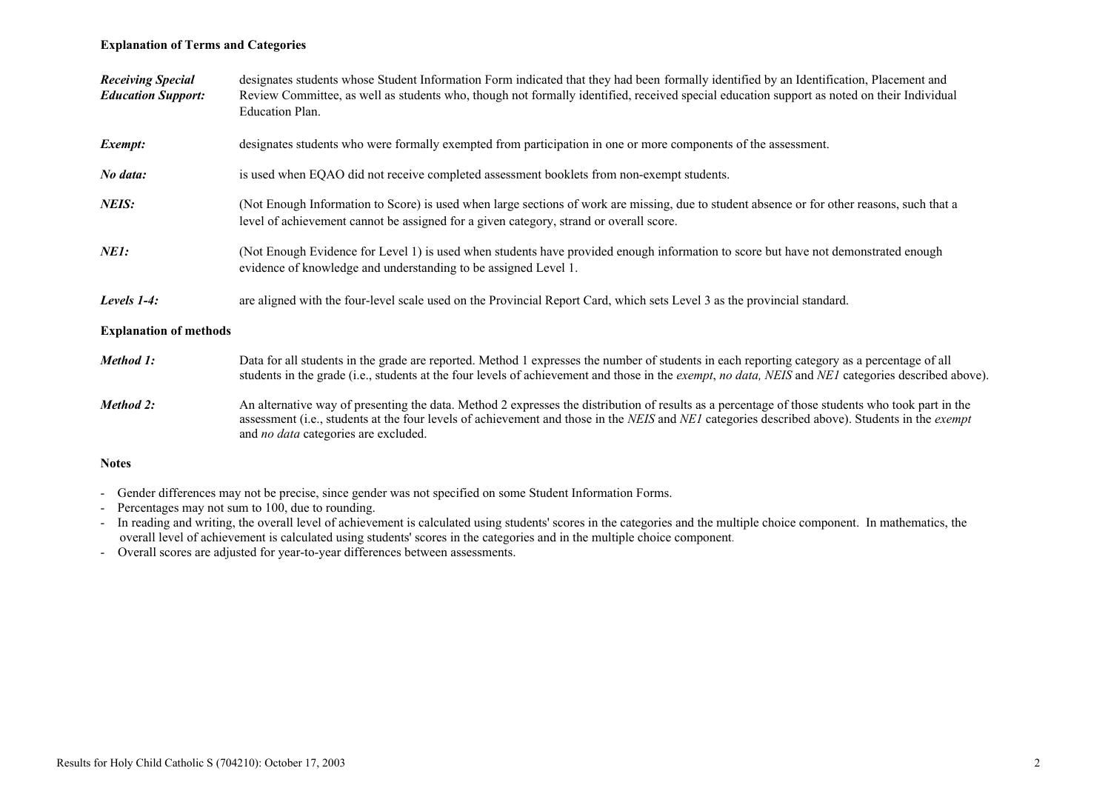### Explanation of Terms and Categories

| <b>Receiving Special</b><br><b>Education Support:</b> | designates students whose Student Information Form indicated that they had been formally identified by an Identification, Placement and<br>Review Committee, as well as students who, though not formally identified, received special education support as noted on their Individual<br>Education Plan.                                          |
|-------------------------------------------------------|---------------------------------------------------------------------------------------------------------------------------------------------------------------------------------------------------------------------------------------------------------------------------------------------------------------------------------------------------|
| Exempt:                                               | designates students who were formally exempted from participation in one or more components of the assessment.                                                                                                                                                                                                                                    |
| No data:                                              | is used when EQAO did not receive completed assessment booklets from non-exempt students.                                                                                                                                                                                                                                                         |
| NEIS:                                                 | (Not Enough Information to Score) is used when large sections of work are missing, due to student absence or for other reasons, such that a<br>level of achievement cannot be assigned for a given category, strand or overall score.                                                                                                             |
| NE1:                                                  | (Not Enough Evidence for Level 1) is used when students have provided enough information to score but have not demonstrated enough<br>evidence of knowledge and understanding to be assigned Level 1.                                                                                                                                             |
| Levels 1-4:                                           | are aligned with the four-level scale used on the Provincial Report Card, which sets Level 3 as the provincial standard.                                                                                                                                                                                                                          |
| <b>Explanation of methods</b>                         |                                                                                                                                                                                                                                                                                                                                                   |
| Method 1:                                             | Data for all students in the grade are reported. Method 1 expresses the number of students in each reporting category as a percentage of all<br>students in the grade (i.e., students at the four levels of achievement and those in the <i>exempt, no data, NEIS</i> and <i>NE1</i> categories described above).                                 |
| Method 2:                                             | An alternative way of presenting the data. Method 2 expresses the distribution of results as a percentage of those students who took part in the<br>assessment (i.e., students at the four levels of achievement and those in the NEIS and NEI categories described above). Students in the exempt<br>and <i>no data</i> categories are excluded. |
| <b>Notes</b>                                          |                                                                                                                                                                                                                                                                                                                                                   |

- Gender differences may not be precise, since gender was not specified on some Student Information Forms.
- Percentages may not sum to 100, due to rounding.
- In reading and writing, the overall level of achievement is calculated using students' scores in the categories and the multiple choice component. In mathematics, the overall level of achievement is calculated using students' scores in the categories and in the multiple choice component.
- Overall scores are adjusted for year-to-year differences between assessments.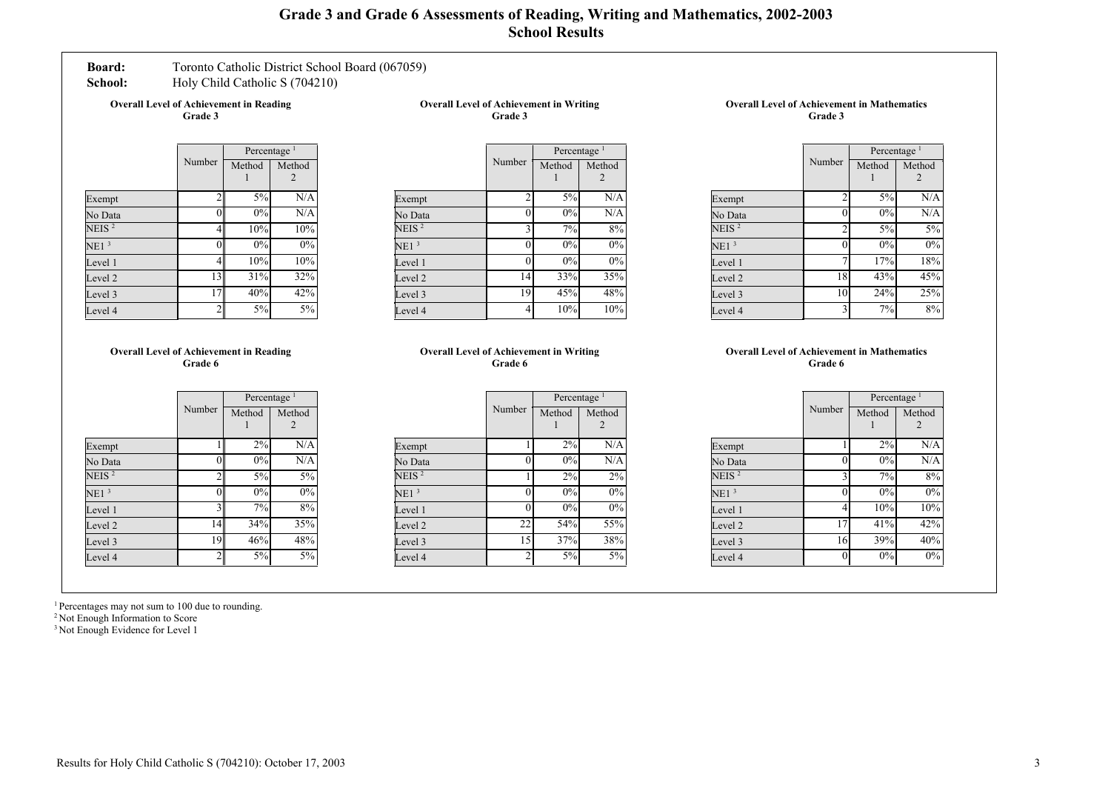# Grade 3 and Grade 6 Assessments of Reading, Writing and Mathematics, 2002-2003 School Results

## Board: Toronto Catholic District School Board (067059)

School: Holy Child Catholic S (704210)

Overall Level of Achievement in Reading Grade 3

Overall Level of Achievement in Writing Grade 3

|                   |                | Percentage <sup>1</sup> |             |  |
|-------------------|----------------|-------------------------|-------------|--|
|                   | Number         | Method                  | Method<br>2 |  |
| Exempt            | $\mathfrak{D}$ | 5%                      | N/A         |  |
| No Data           | 0              | 0%                      | N/A         |  |
| NEIS <sup>2</sup> | 4              | 10%                     | 10%         |  |
| NE1 <sup>3</sup>  | 0              | 0%                      | 0%          |  |
| Level 1           | $\overline{4}$ | 10%                     | 10%         |  |
| Level 2           | 13             | 31%                     | 32%         |  |
| Level 3           | 17             | 40%                     | 42%         |  |
| Level 4           | $\mathfrak{D}$ | 5%                      | 5%          |  |

|                   |                | Percentage <sup>1</sup> |             |  |
|-------------------|----------------|-------------------------|-------------|--|
|                   | Number         | Method                  | Method<br>2 |  |
| Exempt            | $\overline{c}$ | 5%                      | N/A         |  |
| No Data           | 0              | 0%                      | N/A         |  |
| NEIS <sup>2</sup> | 3              | 7%                      | 8%          |  |
| NE1 <sup>3</sup>  | 0              | 0%                      | 0%          |  |
| Level 1           | 0              | 0%                      | $0\%$       |  |
| Level 2           | 14             | 33%                     | 35%         |  |
| Level 3           | 19             | 45%                     | 48%         |  |
| Level 4           | $\overline{4}$ | 10%                     | 10%         |  |

Overall Level of Achievement in Mathematics Grade 3

|                   |                | Percentage <sup>1</sup> |             |  |
|-------------------|----------------|-------------------------|-------------|--|
|                   | Number         | Method                  | Method<br>2 |  |
| Exempt            | $\overline{2}$ | $5\%$                   | N/A         |  |
| No Data           | 0              | $0\%$                   | N/A         |  |
| NEIS <sup>2</sup> | $\overline{2}$ | $5\%$                   | 5%          |  |
| NE1 <sup>3</sup>  |                | $0\%$                   | $0\%$       |  |
| Level 1           |                | 17%                     | 18%         |  |
| Level 2           | 18             | 43%                     | 45%         |  |
| Level 3           | 10             | 24%                     | 25%         |  |
| Level 4           | $\mathbf{3}$   | 7%                      | 8%          |  |

#### Overall Level of Achievement in Reading Grade 6

|                   |                 | Percentage <sup>1</sup> |        |  |
|-------------------|-----------------|-------------------------|--------|--|
|                   | Number          | Method                  | Method |  |
| Exempt            |                 | 2%                      | N/A    |  |
| No Data           | $\vert 0 \vert$ | 0%                      | N/A    |  |
| NEIS <sup>2</sup> | 2               | 5%                      | 5%     |  |
| NE1 <sup>3</sup>  | 0               | 0%                      | 0%     |  |
| Level 1           | 3               | 7%                      | 8%     |  |
| Level 2           | 14              | 34%                     | 35%    |  |
| Level 3           | 19              | 46%                     | 48%    |  |
| Level 4           | $\overline{2}$  | 5%                      | 5%     |  |

#### Overall Level of Achievement in Writing Grade 6

|                  |        | Percentage <sup>1</sup> |        |  |
|------------------|--------|-------------------------|--------|--|
|                  | Number | Method                  | Method |  |
|                  |        |                         |        |  |
| Exempt           |        | 2%                      | N/A    |  |
| No Data          | 0      | 0%                      | N/A    |  |
| NEIS $^2$        |        | 2%                      | 2%     |  |
| NE1 <sup>3</sup> | 0      | 0%                      | $0\%$  |  |
| Level 1          | 0      | 0%                      | 0%     |  |
| Level 2          | 22     | 54%                     | 55%    |  |
| Level 3          | 15     | 37%                     | 38%    |  |
| Level 4          | 2      | 5%                      | 5%     |  |

#### Overall Level of Achievement in Mathematics Grade 6

|                  |        | Percentage <sup>1</sup> |        |  |  |
|------------------|--------|-------------------------|--------|--|--|
|                  | Number | Method                  | Method |  |  |
|                  |        |                         |        |  |  |
| Exempt           |        | 2%                      | N/A    |  |  |
| No Data          | 0      | 0%                      | N/A    |  |  |
| NEIS $^2$        | 3      | 7%                      | 8%     |  |  |
| NE1 <sup>3</sup> | 0      | 0%                      | 0%     |  |  |
| Level 1          | 4      | 10%                     | 10%    |  |  |
| Level 2          | 17     | 41%                     | 42%    |  |  |
| Level 3          | 16     | 39%                     | 40%    |  |  |
| Level 4          | 0      | 0%                      | 0%     |  |  |
|                  |        |                         |        |  |  |

<sup>1</sup> Percentages may not sum to 100 due to rounding.

<sup>2</sup> Not Enough Information to Score

<sup>3</sup> Not Enough Evidence for Level 1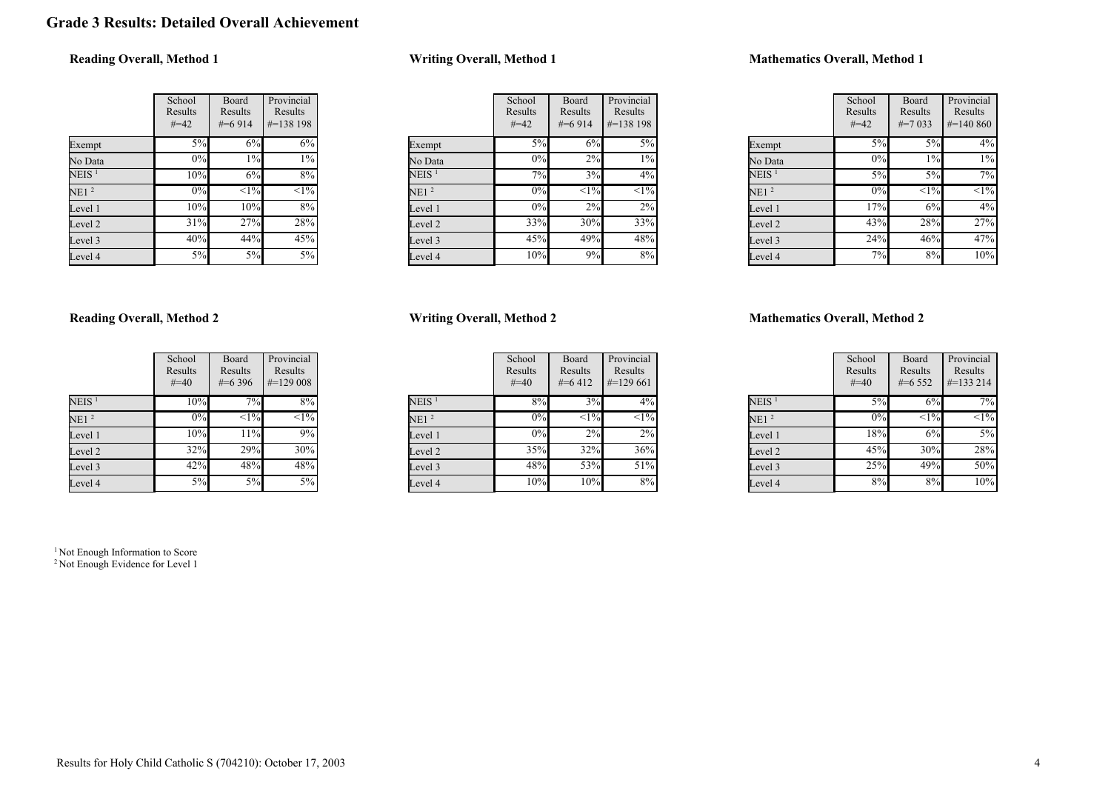# Grade 3 Results: Detailed Overall Achievement

# Reading Overall, Method 1

|                  | School<br>Results<br>$#=42$ | Board<br>Results<br>$\#=6914$ | Provincial<br>Results<br>#=138 198 |
|------------------|-----------------------------|-------------------------------|------------------------------------|
| Exempt           | 5%                          | 6%                            | 6%                                 |
| No Data          | 0%                          | $1\%$                         | 1%                                 |
| $\rm NEIS$ $^1$  | 10%                         | 6%                            | 8%                                 |
| NE1 <sup>2</sup> | 0%                          | $\overline{<}1\%$             | $\overline{<}1\%$                  |
| Level 1          | 10%                         | 10%                           | 8%                                 |
| Level 2          | 31%                         | 27%                           | 28%                                |
| Level 3          | 40%                         | 44%                           | 45%                                |
| Level 4          | 5%                          | 5%                            | 5%                                 |

## Writing Overall, Method 1

|                   | School<br>Results<br>$#=42$ | <b>Board</b><br>Results<br>$#=6914$ | Provincial<br>Results<br>$\#=138$ 198 |
|-------------------|-----------------------------|-------------------------------------|---------------------------------------|
| Exempt            | $5\%$                       | 6%                                  | $5\%$                                 |
| No Data           | 0%                          | 2%                                  | $1\%$                                 |
| NEIS <sup>1</sup> | 7%                          | 3%                                  | 4%                                    |
| NE1 <sup>2</sup>  | 0%                          | $<1\frac{9}{6}$                     | $\overline{<}1\%$                     |
| Level 1           | $0\%$                       | 2%                                  | 2%                                    |
| Level 2           | 33%                         | 30%                                 | 33%                                   |
| Level 3           | 45%                         | 49%                                 | 48%                                   |
| Level 4           | 10%                         | 9%                                  | 8%                                    |

## Mathematics Overall, Method 1

|                  | School<br>Results<br>$#=42$ | Board<br>Results<br>$\#=7033$ | Provincial<br>Results<br>$\#=140\,860$ |
|------------------|-----------------------------|-------------------------------|----------------------------------------|
| Exempt           | 5%                          | 5%                            | 4%                                     |
| No Data          | 0%                          | $1\%$                         | $1\%$                                  |
| $NEIS$ $^{1}$    | 5%                          | 5%                            | 7%                                     |
| NE1 <sup>2</sup> | 0%                          | <1%                           | $<1\%$                                 |
| Level 1          | 17%                         | 6%                            | 4%                                     |
| Level 2          | 43%                         | 28%                           | 27%                                    |
| Level 3          | 24%                         | 46%                           | 47%                                    |
| Level 4          | 7%                          | 8%                            | 10%                                    |

### Reading Overall, Method 2

|                   | School<br>Results<br>$#=40$ | Board<br>Results<br>$\#=6396$ | Provincial<br>Results<br>$\#=129008$ |
|-------------------|-----------------------------|-------------------------------|--------------------------------------|
| NEIS <sup>1</sup> | 10%                         | 7%                            | 8%                                   |
| NE1 <sup>2</sup>  | 0%                          | $\overline{<}1\%$             | $\overline{<}1\%$                    |
| Level 1           | 10%                         | 11%                           | 9%                                   |
| Level 2           | 32%                         | 29%                           | 30%                                  |
| Level 3           | 42%                         | 48%                           | 48%                                  |
| Level 4           | 5%                          | 5%                            | 5%                                   |

# Writing Overall, Method 2

|                   | School<br>Results<br>$#=40$ | Board<br>Results<br>$#=6412$ | Provincial<br>Results<br>$\#=129661$ |
|-------------------|-----------------------------|------------------------------|--------------------------------------|
| NEIS <sup>1</sup> | 8%                          | 3%                           | $4\%$                                |
| NE1 <sup>2</sup>  | 0%                          | $\overline{<}1\%$            | $\overline{<}1\%$                    |
| Level 1           | 0%                          | 2%                           | $2\%$                                |
| Level 2           | 35%                         | 32%                          | 36%                                  |
| Level 3           | 48%                         | 53%                          | 51%                                  |
| Level 4           | 10%                         | 10%                          | 8%                                   |

### Mathematics Overall, Method 2

|                   | School<br>Results<br>$#=40$ | Board<br>Results<br>$#=6552$ | Provincial<br>Results<br>$#=133214$ |
|-------------------|-----------------------------|------------------------------|-------------------------------------|
| NEIS <sup>1</sup> | 5%                          | 6%                           | 7%                                  |
| NE1 <sup>2</sup>  | 0%                          | $\leq$ 1%                    | $\overline{<}1\%$                   |
| Level 1           | 18%                         | 6%                           | $5\%$                               |
| Level 2           | 45%                         | 30%                          | 28%                                 |
| Level 3           | 25%                         | 49%                          | 50%                                 |
| Level 4           | 8%                          | 8%                           | 10%                                 |

<sup>1</sup> Not Enough Information to Score <sup>2</sup> Not Enough Evidence for Level 1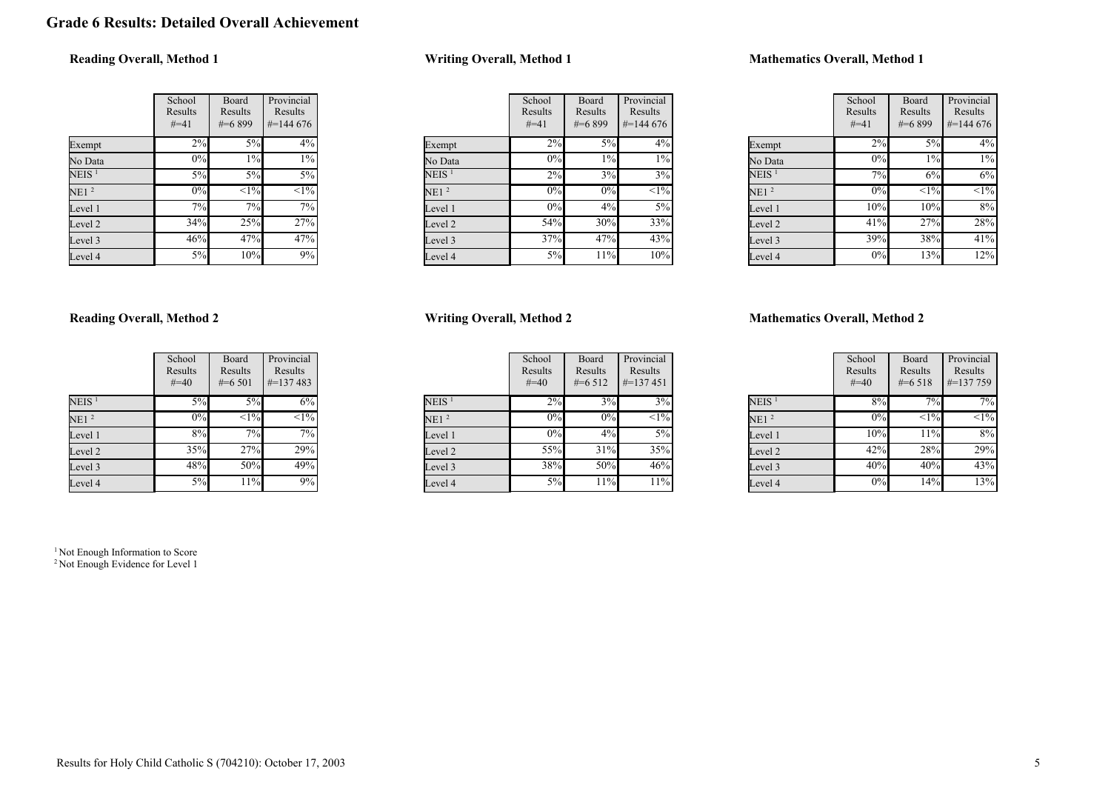# Grade 6 Results: Detailed Overall Achievement

# Reading Overall, Method 1

|                   | School<br>Results<br>$#=41$ | Board<br>Results<br>$\#=6899$ | Provincial<br>Results<br>$\#$ =144 676 |
|-------------------|-----------------------------|-------------------------------|----------------------------------------|
| Exempt            | 2%                          | 5%                            | 4%                                     |
| No Data           | 0%                          | 1%                            | 1%                                     |
| NEIS <sup>1</sup> | 5%                          | 5%                            | 5%                                     |
| NE1 <sup>2</sup>  | 0%                          | $\overline{<}1\%$             | $\overline{<}1\%$                      |
| Level 1           | 7%                          | 7%                            | 7%                                     |
| Level 2           | 34%                         | 25%                           | 27%                                    |
| Level 3           | 46%                         | 47%                           | 47%                                    |
| Level 4           | 5%                          | 10%                           | 9%                                     |

# Writing Overall, Method 1

|                   | School<br>Results<br>$#=41$ | <b>Board</b><br>Results<br>$#=6899$ | Provincial<br>Results<br>$\#=144\,676$ |
|-------------------|-----------------------------|-------------------------------------|----------------------------------------|
| Exempt            | 2%                          | $5\%$                               | 4%                                     |
| No Data           | $0\%$                       | $1\%$                               | $1\%$                                  |
| NEIS <sup>1</sup> | 2%                          | 3%                                  | 3%                                     |
| NE1 <sup>2</sup>  | 0%                          | 0%                                  | $\overline{<}1\%$                      |
| Level 1           | $0\%$                       | 4%                                  | 5%                                     |
| Level 2           | 54%                         | 30%                                 | 33%                                    |
| Level 3           | 37%                         | 47%                                 | 43%                                    |
| Level 4           | 5%                          | 11%                                 | 10%                                    |

### Mathematics Overall, Method 1

|                   | School<br>Results<br>$#=41$ | Board<br>Results<br>#=6899 | Provincial<br>Results<br>$\#=144\,676$ |
|-------------------|-----------------------------|----------------------------|----------------------------------------|
| Exempt            | 2%                          | 5%                         | 4%                                     |
| No Data           | 0%                          | $1\%$                      | $1\%$                                  |
| NEIS <sup>1</sup> | 7%                          | 6%                         | 6%                                     |
| NE1 <sup>2</sup>  | $0\%$                       | <1%                        | $<1\%$                                 |
| Level 1           | 10%                         | 10%                        | 8%                                     |
| Level 2           | 41%                         | 27%                        | 28%                                    |
| Level 3           | 39%                         | 38%                        | 41%                                    |
| Level 4           | 0%                          | 13%                        | 12%                                    |

### Reading Overall, Method 2

|                   | School<br>Results<br>$#=40$ | Board<br>Results<br>$\#=6501$ | Provincial<br>Results<br>$\# = 137483$ |
|-------------------|-----------------------------|-------------------------------|----------------------------------------|
| NEIS <sup>1</sup> | 5%                          | 5%                            | 6%                                     |
| NE1 <sup>2</sup>  | 0%                          | $\overline{<}1\%$             | $\overline{<}1\%$                      |
| Level 1           | 8%                          | 7%                            | 7%                                     |
| Level 2           | 35%                         | 27%                           | $29\sqrt{6}$                           |
| Level 3           | 48%                         | 50%                           | 49%                                    |
| Level 4           | 5%                          | 11%                           | 9%                                     |

Writing Overall, Method 2

|                   | School<br>Results<br>$#=40$ | Board<br>Results<br>$#=6512$ | Provincial<br>Results<br>$\#$ =137451 |
|-------------------|-----------------------------|------------------------------|---------------------------------------|
| NEIS <sup>1</sup> | 2%                          | 3%                           | 3%                                    |
| NE1 <sup>2</sup>  | 0%                          | 0%                           | $<1\%$                                |
| Level 1           | 0%                          | 4%                           | 5%                                    |
| Level 2           | 55%                         | 31%                          | 35%                                   |
| Level 3           | 38%                         | 50%                          | 46%                                   |
| Level 4           | 5%                          | 11%                          | 11%                                   |

### Mathematics Overall, Method 2

|                   | School<br>Results<br>$#=40$ | Board<br>Results<br>$\#$ =6.518 | Provincial<br>Results<br>$\#$ =137 759 |
|-------------------|-----------------------------|---------------------------------|----------------------------------------|
| NEIS <sup>1</sup> | 8%                          | 7%                              | 7%                                     |
| NE1 <sup>2</sup>  | $0\%$                       | $<1\%$                          | $\overline{<}1\%$                      |
| Level 1           | 10%                         | 11%                             | 8%                                     |
| Level 2           | 42%                         | 28%                             | 29%                                    |
| Level 3           | 40%                         | 40%                             | 43%                                    |
| Level 4           | 0%                          | 14%                             | 13%                                    |

<sup>1</sup> Not Enough Information to Score <sup>2</sup> Not Enough Evidence for Level 1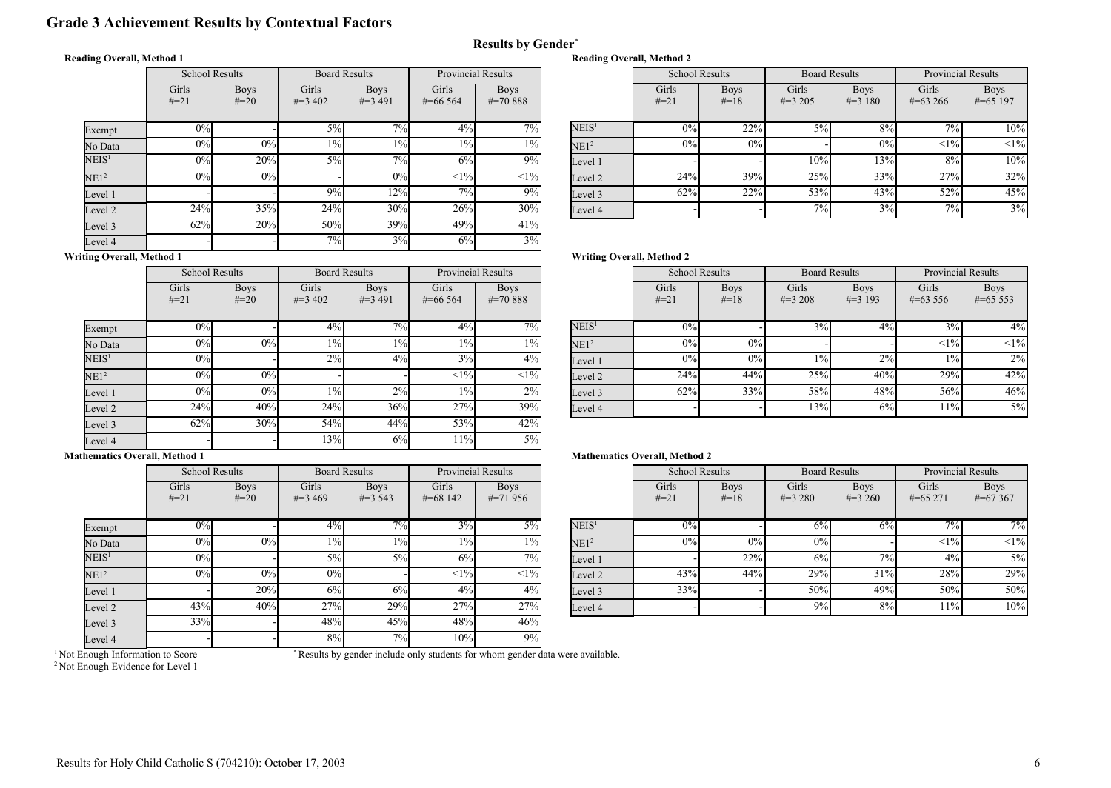# Grade 3 Achievement Results by Contextual Factors

#### Reading Overall, Method 1

|                   | <b>School Results</b> |                       | <b>Board Results</b> |                           |                       | <b>Provincial Results</b>   |  |
|-------------------|-----------------------|-----------------------|----------------------|---------------------------|-----------------------|-----------------------------|--|
|                   | Girls<br>$#=21$       | <b>Boys</b><br>$#=20$ | Girls<br>$\#=3,402$  | <b>Boys</b><br>$\#=3,491$ | Girls<br>$\#$ =66 564 | <b>Boys</b><br>$\# = 70888$ |  |
| Exempt            | 0%                    |                       | $5\%$                | 7%                        | $4\%$                 | 7%                          |  |
| No Data           | 0%                    | 0%                    | $1\%$                | $1\%$                     | $1\%$                 | $1\%$                       |  |
| $\mathrm{NEIS}^1$ | 0%                    | 20%                   | $5\%$                | 7%                        | 6%                    | 9%                          |  |
| NE1 <sup>2</sup>  | 0%                    | $0\%$                 |                      | 0%                        | $<1\%$                | <1%                         |  |
| Level 1           |                       |                       | 9%                   | 12%                       | 7%                    | 9%                          |  |
| Level 2           | 24%                   | 35%                   | 24%                  | 30%                       | 26%                   | 30%                         |  |
| Level 3           | 62%                   | 20%                   | 50%                  | 39%                       | 49%                   | 41%                         |  |
| Level 4           |                       |                       | 7%                   | 3%                        | 6%                    | 3%                          |  |

| Provincial Results |               |                   |        | <b>Board Results</b><br><b>School Results</b> |           | <b>Provincial Results</b> |              |             |
|--------------------|---------------|-------------------|--------|-----------------------------------------------|-----------|---------------------------|--------------|-------------|
| irls               | <b>Boys</b>   |                   | Girls  | <b>Boys</b>                                   | Girls     | <b>Boys</b>               | Girls        | <b>Boys</b> |
| 6 5 6 4            | $\# = 70.888$ |                   | $#=21$ | $#=18$                                        | $\#=3205$ | $\#=3$ 180                | $\#=63\,266$ | $\#=65$ 197 |
|                    |               |                   |        |                                               |           |                           |              |             |
| $4\%$              | $7\%$         | NEIS <sup>1</sup> | 0%     | 22%                                           | 5%        | $8\%$                     | $7\%$        | 10%         |
| $1\%$              | $1\%$         | NE1 <sup>2</sup>  | 0%     | 0%                                            |           | 0%                        | <1%          | <1%         |
| 6%                 | 9%            | Level 1           |        |                                               | 10%       | 13%                       | 8%           | 10%         |
| <1%                | <1%           | Level 2           | 24%    | 39%                                           | 25%       | 33%                       | 27%          | 32%         |
| 7%                 | 9%            | Level 3           | 62%    | 22%                                           | 53%       | 43%                       | 52%          | 45%         |
| 26%                | 30%           | Level 4           |        |                                               | 7%        | 3%                        | 7%           | 3%          |

### Writing Overall, Method 1

|                   | <b>School Results</b> |                       | <b>Board Results</b> |                          | <b>Provincial Results</b> |                              |  |
|-------------------|-----------------------|-----------------------|----------------------|--------------------------|---------------------------|------------------------------|--|
|                   | Girls<br>$#=21$       | <b>Boys</b><br>$#=20$ | Girls<br>$\#=3,402$  | <b>Boys</b><br>$\#=3491$ | Girls<br>$\#$ =66 564     | <b>Boys</b><br>$\# = 70.888$ |  |
| Exempt            | 0%                    |                       | 4%                   | 7%                       | 4%                        | 7%                           |  |
| No Data           | $0\%$                 | 0%                    | $1\%$                | $1\%$                    | $1\%$                     | $1\%$                        |  |
| NEIS <sup>1</sup> | 0%                    |                       | 2%                   | 4%                       | 3%                        | 4%                           |  |
| NE1 <sup>2</sup>  | 0%                    | 0%                    |                      |                          | <1%                       | <1%                          |  |
| Level 1           | 0%                    | 0%                    | $1\%$                | 2%                       | $1\%$                     | 2%                           |  |
| Level 2           | 24%                   | 40%                   | 24%                  | 36%                      | 27%                       | 39%                          |  |
| Level 3           | 62%                   | 30%                   | 54%                  | 44%                      | 53%                       | 42%                          |  |
| Level 4           |                       |                       | 13%                  | 6%                       | 11%                       | $5\%$                        |  |

# Writing Overall, Method 2

Reading Overall, Method 2

Results by Gender\*

| <b>Provincial Results</b> |                             |                   | <b>School Results</b><br><b>Board Results</b> |                       | <b>Provincial Results</b> |                           |                       |                           |
|---------------------------|-----------------------------|-------------------|-----------------------------------------------|-----------------------|---------------------------|---------------------------|-----------------------|---------------------------|
| irls<br>6 5 6 4           | <b>Boys</b><br>$\# = 70888$ |                   | Girls<br>$#=21$                               | <b>Boys</b><br>$#=18$ | Girls<br>$\#=3208$        | <b>Boys</b><br>$\#=3$ 193 | Girls<br>$\#=63\,556$ | <b>Boys</b><br>$\#=65553$ |
| $4\%$                     | $7\overline{\%}$            | NEIS <sup>1</sup> | 0%                                            |                       | 3%                        | 4%                        | 3%                    | $4\%$                     |
| $1\%$                     | $1\%$                       | NE1 <sup>2</sup>  | 0%                                            | 0%                    |                           |                           | <1%                   | $\leq 1\%$                |
| 3%                        | $4\%$                       | Level 1           | 0%                                            | 0%                    | $1\%$                     | 2%                        | $1\%$                 | $2\%$                     |
| <1%                       | $<1\%$                      | Level 2           | 24%                                           | 44%                   | 25%                       | 40%                       | 29%                   | 42%                       |
| $1\%$                     | 2%                          | Level 3           | 62%                                           | 33%                   | 58%                       | 48%                       | 56%                   | 46%                       |
| 27%                       | 39%                         | Level 4           |                                               |                       | 13%                       | 6%                        | 11%                   | $5\%$                     |

#### Mathematics Overall, Method 1

|                   |                 | <b>School Results</b> | <b>Board Results</b> |                           | <b>Provincial Results</b> |                           |
|-------------------|-----------------|-----------------------|----------------------|---------------------------|---------------------------|---------------------------|
|                   | Girls<br>$#=21$ | <b>Boys</b><br>$#=20$ | Girls<br>$\#=3469$   | <b>Boys</b><br>$\#=3$ 543 | Girls<br>$\# = 68142$     | <b>Boys</b><br>$\#=71956$ |
| Exempt            | 0%              |                       | 4%                   | 7%                        | 3%                        | $5\%$                     |
| No Data           | 0%              | $0\%$                 | $1\%$                | $1\%$                     | $1\%$                     | $1\%$                     |
| NEIS <sup>1</sup> | 0%              |                       | $5\%$                | $5\%$                     | 6%                        | 7%                        |
| NE1 <sup>2</sup>  | 0%              | 0%                    | 0%                   |                           | <1%                       | <1%                       |
| Level 1           |                 | 20%                   | 6%                   | 6%                        | $4\%$                     | $4\%$                     |
| Level 2           | 43%             | 40%                   | 27%                  | 29%                       | 27%                       | 27%                       |
| Level 3           | 33%             |                       | 48%                  | 45%                       | 48%                       | 46%                       |
| Level 4           | -               |                       | 8%                   | 7%                        | 10%                       | 9%                        |

#### Mathematics Overall, Method 2

| <b>Provincial Results</b> |                           |                   | <b>School Results</b> |                       | <b>Board Results</b> |                          | <b>Provincial Results</b> |                           |
|---------------------------|---------------------------|-------------------|-----------------------|-----------------------|----------------------|--------------------------|---------------------------|---------------------------|
| irls<br>8 1 4 2           | <b>Boys</b><br>$\#=71956$ |                   | Girls<br>$#=21$       | <b>Boys</b><br>$#=18$ | Girls<br>$\#=3280$   | <b>Boys</b><br>$\#=3260$ | Girls<br>$\#=65271$       | <b>Boys</b><br>$\#=67367$ |
| 3%                        | $5\%$                     | NEIS <sup>1</sup> | 0%                    |                       | 6%                   | 6%                       | $7\%$                     | $7\overline{\%}$          |
| $1\%$                     | $1\%$                     | NE1 <sup>2</sup>  | 0%                    | 0%                    | 0%                   |                          | <1%                       | $<1\%$                    |
| 6%                        | $7\%$ <sub>1</sub>        | Level 1           |                       | 22%                   | 6%                   | 7%                       | 4%                        | $5\%$                     |
| <1%                       | $<$ 1% $ $                | Level 2           | 43%                   | 44%                   | 29%                  | 31%                      | 28%                       | 29%                       |
| 4%                        | $4\%$                     | Level 3           | 33%                   |                       | 50%                  | 49%                      | 50%                       | 50%                       |
| 27%                       | 27%                       | Level 4           |                       |                       | 9%                   | 8%                       | 11%                       | 10%                       |

<sup>1</sup> Not Enough Information to Score

\* Results by gender include only students for whom gender data were available.

<sup>2</sup> Not Enough Evidence for Level 1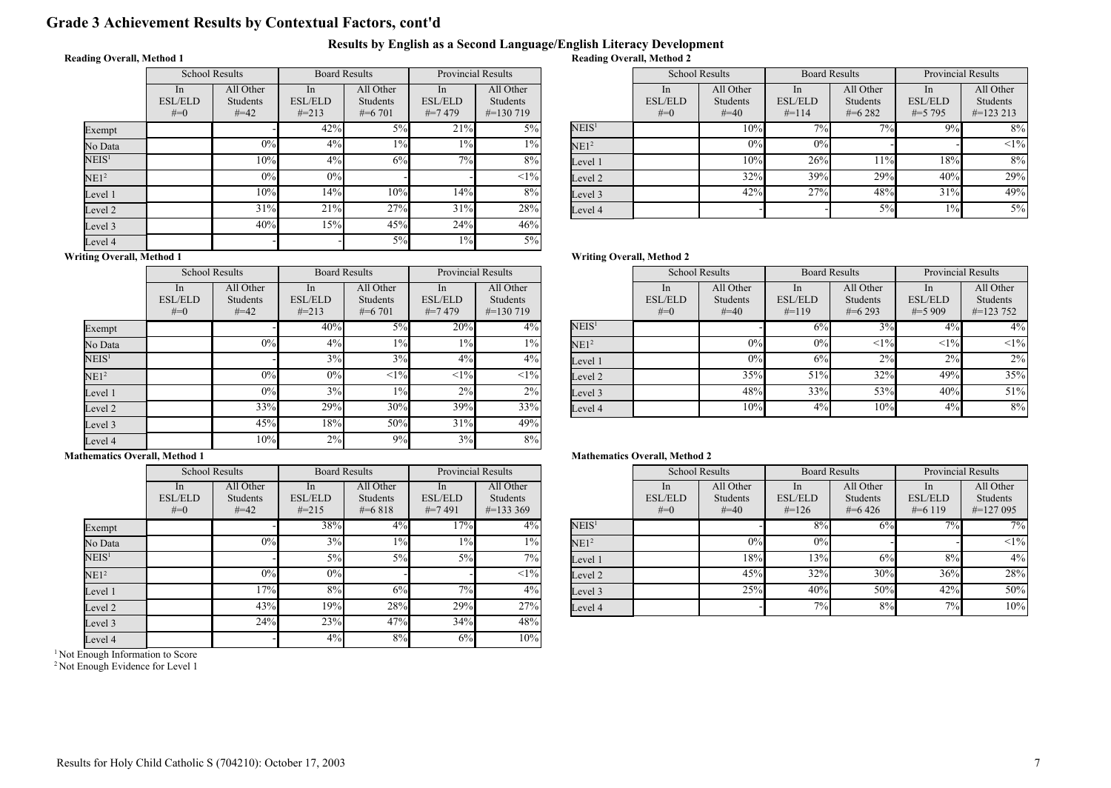# Grade 3 Achievement Results by Contextual Factors, cont'd

### Results by English as a Second Language/English Literacy Development

### Reading Overall, Method 1

|                   | <b>School Results</b>         |                                 | <b>Board Results</b>               |                                    | <b>Provincial Results</b>           |                                        |  |
|-------------------|-------------------------------|---------------------------------|------------------------------------|------------------------------------|-------------------------------------|----------------------------------------|--|
|                   | In<br><b>ESL/ELD</b><br>$#=0$ | All Other<br>Students<br>$#=42$ | In<br><b>ESL/ELD</b><br>$\# = 213$ | All Other<br>Students<br>$\#=6701$ | In<br><b>ESL/ELD</b><br>$\# = 7479$ | All Other<br>Students<br>$\#$ =130 719 |  |
| Exempt            |                               |                                 | 42%                                | 5%                                 | 21%                                 | $5\%$                                  |  |
| No Data           |                               | 0%                              | $4\%$                              | $1\%$                              | $1\%$                               | $1\%$                                  |  |
| NEIS <sup>1</sup> |                               | 10%                             | $4\%$                              | 6%                                 | 7%                                  | 8%                                     |  |
| NE1 <sup>2</sup>  |                               | $0\%$                           | 0%                                 |                                    |                                     | $<1\%$                                 |  |
| Level 1           |                               | 10%                             | 14%                                | 10%                                | 14%                                 | 8%                                     |  |
| Level 2           |                               | 31%                             | 21%                                | 27%                                | 31%                                 | 28%                                    |  |
| Level 3           |                               | 40%                             | 15%                                | 45%                                | 24%                                 | 46%                                    |  |
| Level 4           |                               |                                 |                                    | $5\%$                              | $1\%$                               | 5%                                     |  |

| <b>Provincial Results</b> |                              |                   | <b>School Results</b>            |                              | <b>Board Results</b>            |                       | <b>Provincial Results</b>        |                       |
|---------------------------|------------------------------|-------------------|----------------------------------|------------------------------|---------------------------------|-----------------------|----------------------------------|-----------------------|
| In<br>/ELD                | All Other<br><b>Students</b> |                   | <sub>1</sub> n<br><b>ESL/ELD</b> | All Other<br><b>Students</b> | <sub>In</sub><br><b>ESL/ELD</b> | All Other<br>Students | <sub>1</sub> n<br><b>ESL/ELD</b> | All Other<br>Students |
| 7479                      | $\#$ =130 719                |                   | $#=0$                            | $#=40$                       | $#=114$                         | $#=6282$              | $\#=5$ 795                       | $\#$ =123 213         |
| 21%                       | $5\%$                        | NEIS <sup>1</sup> |                                  | 10%                          | $7\%$                           | $7\%$                 | 9%                               | $8\%$                 |
| $1\%$                     | $1\%$                        | NE1 <sup>2</sup>  |                                  | 0%                           | 0%                              |                       |                                  | $<1\%$                |
| 7%                        | 8%                           | Level 1           |                                  | 10%                          | 26%                             | 11%                   | 18%                              | 8%                    |
|                           | <1%                          | Level 2           |                                  | 32%                          | 39%                             | 29%                   | 40%                              | 29%                   |
| 14%                       | 8%                           | Level 3           |                                  | 42%                          | 27%                             | 48%                   | 31%                              | 49%                   |
| 31%                       | 28%                          | Level 4           |                                  |                              |                                 | 5%                    | 1%                               | 5%                    |

# Writing Overall, Method 1

|                   | <b>School Results</b>         |                                        | <b>Board Results</b>               |                                    | <b>Provincial Results</b>           |                                               |  |
|-------------------|-------------------------------|----------------------------------------|------------------------------------|------------------------------------|-------------------------------------|-----------------------------------------------|--|
|                   | In<br><b>ESL/ELD</b><br>$#=0$ | All Other<br><b>Students</b><br>$#=42$ | In<br><b>ESL/ELD</b><br>$\# = 213$ | All Other<br>Students<br>$\#=6701$ | In<br><b>ESL/ELD</b><br>$\# = 7479$ | All Other<br><b>Students</b><br>$\#$ =130 719 |  |
| Exempt            |                               |                                        | 40%                                | 5%                                 | 20%                                 | $4\%$                                         |  |
| No Data           |                               | 0%                                     | 4%                                 | $1\%$                              | $1\%$                               | $1\%$                                         |  |
| NEIS <sup>1</sup> |                               |                                        | 3%                                 | 3%                                 | 4%                                  | $4\%$                                         |  |
| NE1 <sup>2</sup>  |                               | 0%                                     | 0%                                 | <1%                                | <1%                                 | <1%                                           |  |
| Level 1           |                               | 0%                                     | 3%                                 | $1\%$                              | 2%                                  | 2%                                            |  |
| Level 2           |                               | 33%                                    | 29%                                | 30%                                | 39%                                 | 33%                                           |  |
| Level 3           |                               | 45%                                    | 18%                                | 50%                                | 31%                                 | 49%                                           |  |
| Level 4           |                               | 10%                                    | 2%                                 | 9%                                 | 3%                                  | 8%                                            |  |

|                   | <b>ESL/ELD</b><br>$#=0$ | Students<br>$#=40$ | <b>ESL/ELD</b><br>$#=119$ | Students<br>$#=6293$ | <b>ESL/ELD</b><br>$\#=5909$ | <b>Students</b><br>$\#$ =123 752 |
|-------------------|-------------------------|--------------------|---------------------------|----------------------|-----------------------------|----------------------------------|
| NEIS <sup>1</sup> |                         |                    | 6%                        | 3%                   | 4%                          | $4\%$                            |
| NE1 <sup>2</sup>  |                         | 0%                 | 0%                        | <1%                  | $\leq$ 1%                   | <1%                              |
| Level 1           |                         | 0%                 | 6%                        | 2%                   | 2%                          | 2%                               |
| Level 2           |                         | 35%                | 51%                       | 32%                  | 49%                         | 35%                              |
| Level 3           |                         | 48%                | 33%                       | 53%                  | 40%                         | 51%                              |
| Level 4           |                         | 10%                | 4%                        | 10%                  | 4%                          | 8%                               |

In

Board Results

All Other

Provincial Results

All Other

In

#### Mathematics Overall, Method 1

|                   | <b>School Results</b>         |                                 | <b>Board Results</b>               |                                    | <b>Provincial Results</b>         |                                               |
|-------------------|-------------------------------|---------------------------------|------------------------------------|------------------------------------|-----------------------------------|-----------------------------------------------|
|                   | In<br><b>ESL/ELD</b><br>$#=0$ | All Other<br>Students<br>$#=42$ | In<br><b>ESL/ELD</b><br>$\# = 215$ | All Other<br>Students<br>$\#=6818$ | In<br><b>ESL/ELD</b><br>$\#=7491$ | All Other<br><b>Students</b><br>$\#$ =133 369 |
| Exempt            |                               |                                 | 38%                                | 4%                                 | 17%                               | $4\%$                                         |
| No Data           |                               | 0%                              | 3%                                 | $1\%$                              | $1\%$                             | $1\%$                                         |
| $\mathrm{NEIS}^1$ |                               |                                 | $5\%$                              | 5%                                 | 5%                                | 7%                                            |
| NE1 <sup>2</sup>  |                               | 0%                              | 0%                                 |                                    |                                   | $<1\%$                                        |
| Level 1           |                               | 17%                             | 8%                                 | 6%                                 | 7%                                | $4\%$                                         |
| Level 2           |                               | 43%                             | 19%                                | 28%                                | 29%                               | 27%                                           |
| Level 3           |                               | 24%                             | 23%                                | 47%                                | 34%                               | 48%                                           |
| Level 4           |                               |                                 | 4%                                 | 8%                                 | 6%                                | 10%                                           |

<sup>1</sup> Not Enough Information to Score

 $\overline{\text{L}}$ 

<sup>2</sup> Not Enough Evidence for Level 1

#### Mathematics Overall, Method 2

| <b>Provincial Results</b> |                                               |                   |                                           | <b>School Results</b>           | <b>Board Results</b>                          |                                     | <b>Provincial Results</b>                      |                                               |
|---------------------------|-----------------------------------------------|-------------------|-------------------------------------------|---------------------------------|-----------------------------------------------|-------------------------------------|------------------------------------------------|-----------------------------------------------|
| In<br>/ELD<br>7491        | All Other<br><b>Students</b><br>$\#$ =133 369 |                   | <sub>1</sub> n<br><b>ESL/ELD</b><br>$#=0$ | All Other<br>Students<br>$#=40$ | <sub>In</sub><br><b>ESL/ELD</b><br>$\# = 126$ | All Other<br>Students<br>$\#$ =6426 | <sub>1</sub> n<br><b>ESL/ELD</b><br>$\#=6$ 119 | All Other<br><b>Students</b><br>$\#$ =127 095 |
| 17%                       | $4\%$                                         | NEIS <sup>1</sup> |                                           |                                 | 8%                                            | 6%                                  | $7\%$                                          | $7\overline{\%}$                              |
| $1\%$                     | $1\%$                                         | NE1 <sup>2</sup>  |                                           | 0%                              | 0%                                            |                                     |                                                | $<1\%$                                        |
| 5%                        | 7%1                                           | Level 1           |                                           | 18%l                            | 13%                                           | 6%                                  | 8%                                             | 4%                                            |
|                           | $<1\%$                                        | Level 2           |                                           | 45%                             | 32%                                           | 30%                                 | 36%                                            | 28%                                           |
| 7%                        | $4\%$                                         | Level 3           |                                           | 25%                             | 40%                                           | 50%                                 | 42%                                            | 50%                                           |
| 29%                       | 27%                                           | Level 4           |                                           |                                 | 7%                                            | 8%                                  | 7%                                             | 10%                                           |

# Reading Overall, Method 2

Writing Overall, Method 2

School Results

All Other

In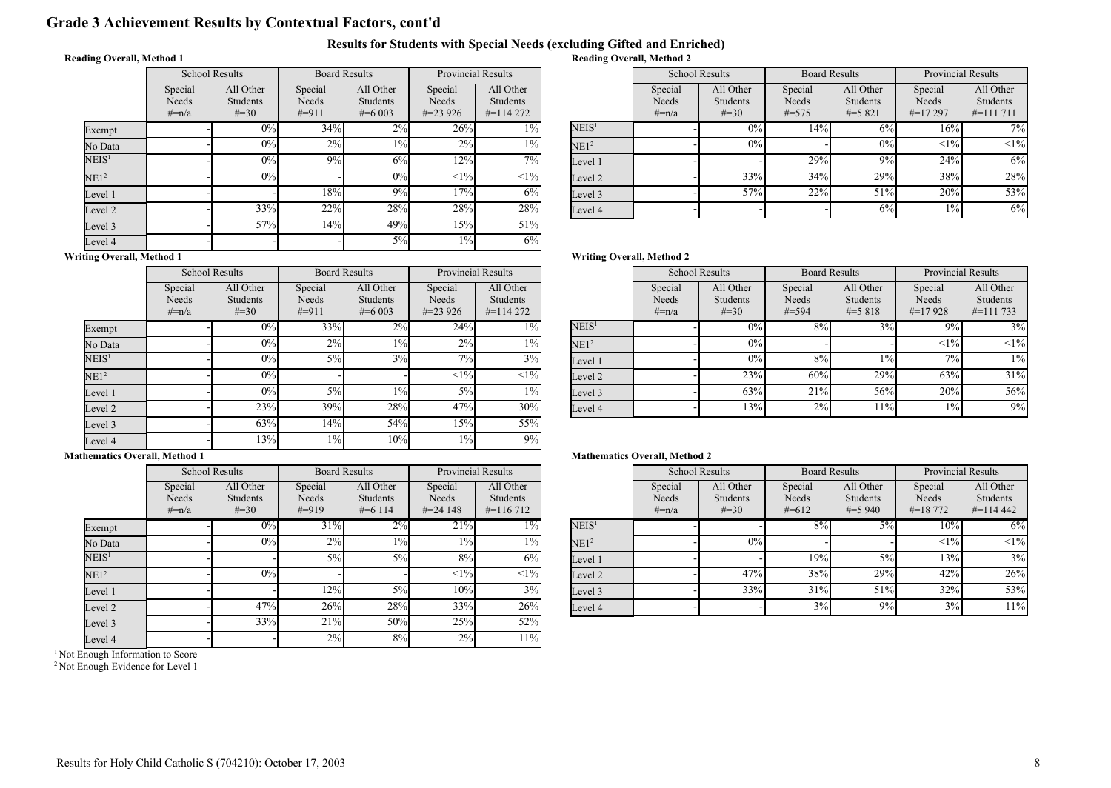# Grade 3 Achievement Results by Contextual Factors, cont'd

#### Results for Students with Special Needs (excluding Gifted and Enriched) Reading Overall, Method 2

### Reading Overall, Method 1

|                   | <b>School Results</b>          |                                    | <b>Board Results</b>         |                                    | <b>Provincial Results</b>      |                                        |  |
|-------------------|--------------------------------|------------------------------------|------------------------------|------------------------------------|--------------------------------|----------------------------------------|--|
|                   | Special<br>Needs<br>$\# = n/a$ | All Other<br>Students<br>$\# = 30$ | Special<br>Needs<br>$\#=911$ | All Other<br>Students<br>$\#=6003$ | Special<br>Needs<br>$\#=23926$ | All Other<br>Students<br>$\#$ =114 272 |  |
| Exempt            |                                | 0%                                 | 34%                          | $2\%$                              | 26%                            | $1\%$                                  |  |
| No Data           |                                | 0%                                 | 2%                           | $1\%$                              | $2\%$                          | $1\%$                                  |  |
| $\mathrm{NEIS}^1$ |                                | 0%                                 | 9%                           | 6%                                 | 12%                            | 7%                                     |  |
| NE1 <sup>2</sup>  |                                | 0%                                 |                              | 0%                                 | <1%                            | $<1\%$                                 |  |
| Level 1           |                                |                                    | 18%                          | 9%                                 | 17%                            | 6%                                     |  |
| Level 2           |                                | 33%                                | 22%                          | 28%                                | 28%                            | 28%                                    |  |
| Level 3           |                                | 57%                                | 14%                          | 49%                                | 15%                            | 51%                                    |  |
| Level 4           |                                |                                    |                              | 5%                                 | $1\%$                          | 6%                                     |  |

| <b>Provincial Results</b> |                                               |                   | <b>School Results</b>       |                                    | <b>Board Results</b>           |                                      | <b>Provincial Results</b>      |                                        |
|---------------------------|-----------------------------------------------|-------------------|-----------------------------|------------------------------------|--------------------------------|--------------------------------------|--------------------------------|----------------------------------------|
| ecial<br>eeds<br>3 9 2 6  | All Other<br><b>Students</b><br>$\#$ =114 272 |                   | Special<br>Needs<br>$#=n/a$ | All Other<br>Students<br>$\# = 30$ | Special<br>Needs<br>$\# = 575$ | All Other<br>Students<br>$\# = 5821$ | Special<br>Needs<br>$\#=17297$ | All Other<br>Students<br>$\#$ =111 711 |
| 26%                       | $\frac{10}{6}$                                | NEIS <sup>1</sup> |                             | 0%                                 | 14%                            | 6%                                   | 16%                            | 7%                                     |
| 2%                        | $1\%$                                         | NE1 <sup>2</sup>  |                             | 0%                                 |                                | 0%                                   | <1%                            | <1%                                    |
| 12%                       | 7%1                                           | Level 1           |                             |                                    | 29%                            | 9%                                   | 24%                            | 6%                                     |
| <1%                       | $<1\%$                                        | Level 2           |                             | 33%                                | 34%                            | 29%                                  | 38%                            | 28%                                    |
| 17%                       | 6%                                            | Level 3           |                             | 57%                                | 22%                            | 51%                                  | 20%                            | 53%                                    |
| 28%                       | 28%                                           | Level 4           |                             |                                    |                                | 6%                                   | $1\%$                          | 6%                                     |

#### Writing Overall, Method 1

|                   | <b>School Results</b>          |                                           | <b>Board Results</b>        |                                           | <b>Provincial Results</b>      |                                        |  |
|-------------------|--------------------------------|-------------------------------------------|-----------------------------|-------------------------------------------|--------------------------------|----------------------------------------|--|
|                   | Special<br>Needs<br>$\# = n/a$ | All Other<br><b>Students</b><br>$\# = 30$ | Special<br>Needs<br>$#=911$ | All Other<br><b>Students</b><br>$\#=6003$ | Special<br>Needs<br>$\#=23926$ | All Other<br>Students<br>$\#$ =114 272 |  |
| Exempt            |                                | 0%                                        | 33%                         | 2%                                        | 24%                            | $1\%$                                  |  |
| No Data           |                                | 0%                                        | 2%                          | $1\%$                                     | 2%                             | $1\%$                                  |  |
| NEIS <sup>1</sup> |                                | 0%                                        | $5\%$                       | 3%                                        | 7%                             | 3%                                     |  |
| NE1 <sup>2</sup>  |                                | 0%                                        |                             |                                           | <1%                            | <1%                                    |  |
| Level 1           |                                | 0%                                        | 5%                          | 1%                                        | 5%                             | $1\%$                                  |  |
| Level 2           |                                | 23%                                       | 39%                         | 28%                                       | 47%                            | 30%                                    |  |
| Level 3           |                                | 63%                                       | 14%                         | 54%                                       | 15%                            | 55%                                    |  |
| Level 4           |                                | 13%                                       | $1\%$                       | 10%                                       | $1\%$                          | 9%                                     |  |

School Results

Writing Overall, Method 2

|                   | Special<br>Needs<br>$#=n/a$ | All Other<br>Students<br>$\# = 30$ | Special<br>Needs<br>$#=594$ | All Other<br><b>Students</b><br>$\# = 5818$ | Special<br>Needs<br>$\#=17928$ | All Other<br><b>Students</b><br>$\#$ =111 733 |
|-------------------|-----------------------------|------------------------------------|-----------------------------|---------------------------------------------|--------------------------------|-----------------------------------------------|
| NEIS <sup>1</sup> |                             | 0%                                 | 8%                          | 3%                                          | $9\%$                          | 3%                                            |
| NE1 <sup>2</sup>  |                             | 0%                                 |                             |                                             | <1%                            | <1%                                           |
| Level 1           |                             | 0%                                 | 8%                          | $1\%$                                       | 7%                             | $1\%$                                         |
| Level 2           |                             | 23%                                | 60%                         | 29%                                         | 63%                            | 31%                                           |
| Level 3           |                             | 63%                                | 21%                         | 56%                                         | 20%                            | 56%                                           |
| Level 4           |                             | 13%                                | 2%                          | $11\%$                                      | 1%                             | 9%                                            |

Board Results

Provincial Results Provincial Results

#### Mathematics Overall, Method 1

|                   | <b>School Results</b>          |                                    | <b>Board Results</b>         |                                            | <b>Provincial Results</b>       |                                               |
|-------------------|--------------------------------|------------------------------------|------------------------------|--------------------------------------------|---------------------------------|-----------------------------------------------|
|                   | Special<br>Needs<br>$\# = n/a$ | All Other<br>Students<br>$\# = 30$ | Special<br>Needs<br>$\#=919$ | All Other<br><b>Students</b><br>$\#=6$ 114 | Special<br>Needs<br>$\#=24$ 148 | All Other<br><b>Students</b><br>$\#$ =116 712 |
| Exempt            |                                | 0%                                 | 31%                          | 2%                                         | 21%                             | $1\%$                                         |
| No Data           |                                | 0%                                 | 2%                           | 1%                                         | $1\%$                           | $1\%$                                         |
| $\mathrm{NEIS}^1$ |                                |                                    | 5%                           | $5\%$                                      | 8%                              | 6%                                            |
| NE1 <sup>2</sup>  |                                | 0%                                 |                              |                                            | <1%                             | $<1\%$                                        |
| Level 1           |                                |                                    | 12%                          | $5\%$                                      | 10%                             | 3%                                            |
| Level 2           |                                | 47%                                | 26%                          | 28%                                        | 33%                             | 26%                                           |
| Level 3           |                                | 33%                                | 21%                          | 50%                                        | 25%                             | 52%                                           |
| Level 4           |                                |                                    | 2%                           | 8%                                         | 2%                              | 11%                                           |

<sup>1</sup> Not Enough Information to Score

<sup>2</sup> Not Enough Evidence for Level 1

#### Mathematics Overall, Method 2

| <b>Provincial Results</b> |                                               |                   | <b>School Results</b>       |                                    | <b>Board Results</b>        |                                    | <b>Provincial Results</b>          |                                        |
|---------------------------|-----------------------------------------------|-------------------|-----------------------------|------------------------------------|-----------------------------|------------------------------------|------------------------------------|----------------------------------------|
| ecial<br>eeds<br>4 1 4 8  | All Other<br><b>Students</b><br>$\#$ =116 712 |                   | Special<br>Needs<br>$#=n/a$ | All Other<br>Students<br>$\# = 30$ | Special<br>Needs<br>$#=612$ | All Other<br>Students<br>$\#=5940$ | Special<br>Needs<br>$\# = 18\,772$ | All Other<br>Students<br>$\#$ =114 442 |
| 21%                       | 1% l                                          | NEIS <sup>1</sup> |                             |                                    | 8%                          | $5\%$                              | 10%                                | 6%                                     |
| $1\%$                     | $1\%$                                         | NE1 <sup>2</sup>  |                             | 0%                                 |                             |                                    | <1%                                | $<1\%$                                 |
| 8%                        | 6%                                            | Level 1           |                             |                                    | 19%                         | $5\%$                              | 13%                                | 3%                                     |
| <1%                       | $<1\%$                                        | Level 2           |                             | 47%                                | 38%                         | 29%                                | 42%                                | 26%                                    |
| 10%                       | 3%                                            | Level 3           |                             | 33%                                | 31%                         | 51%                                | 32%                                | 53%                                    |
| 33%                       | 26%                                           | Level 4           |                             |                                    | 3%                          | 9%                                 | 3%                                 | 11%                                    |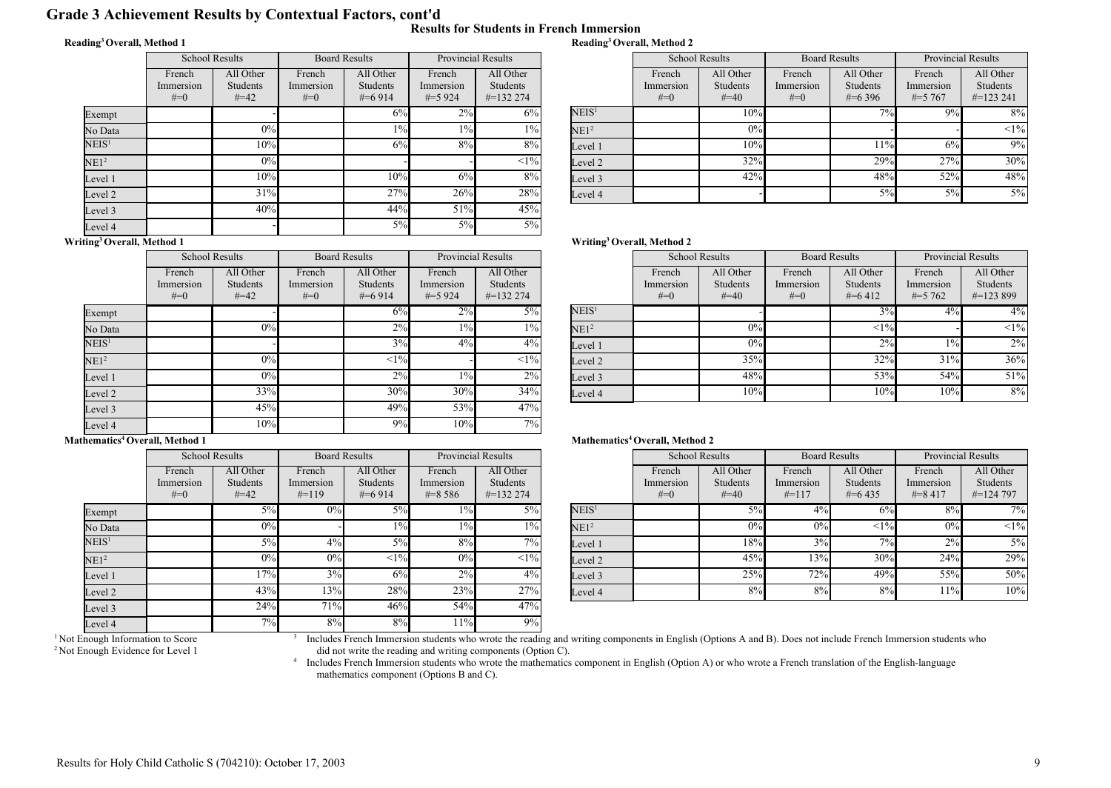# Grade 3 Achievement Results by Contextual Factors, cont'd

#### Reading<sup>3</sup>Overall, Method 1

|  |  | Results for Students in French Immersion |
|--|--|------------------------------------------|
|  |  | Reading <sup>3</sup> Overall, Method 2   |

|                   | <b>School Results</b>        |                                 | <b>Board Results</b>           |                                    | <b>Provincial Results</b>        |                                        |
|-------------------|------------------------------|---------------------------------|--------------------------------|------------------------------------|----------------------------------|----------------------------------------|
|                   | French<br>Immersion<br>$#=0$ | All Other<br>Students<br>$#=42$ | French<br>Immersion<br>$# = 0$ | All Other<br>Students<br>$\#=6914$ | French<br>Immersion<br>$\#=5924$ | All Other<br>Students<br>$\#$ =132 274 |
| Exempt            |                              |                                 |                                | 6%                                 | $2\%$                            | 6%                                     |
| No Data           |                              | 0%                              |                                | $1\%$                              | $1\%$                            | $1\%$                                  |
| $\mathrm{NEIS}^1$ |                              | 10%                             |                                | 6%                                 | 8%                               | 8%                                     |
| NE1 <sup>2</sup>  |                              | 0%                              |                                |                                    |                                  | $<1\%$                                 |
| Level 1           |                              | 10%                             |                                | 10%                                | 6%                               | 8%                                     |
| Level 2           |                              | 31%                             |                                | 27%                                | 26%                              | 28%                                    |
| Level 3           |                              | 40%                             |                                | 44%                                | 51%                              | 45%                                    |
| Level 4           |                              |                                 |                                | 5%                                 | 5%                               | $5\%$                                  |
| $\cdot$ $\cdot$   | .                            |                                 |                                |                                    |                                  |                                        |

|        | <b>Provincial Results</b> |                   | <b>School Results</b> |                 | <b>Board Results</b> |             | <b>Provincial Results</b> |                 |
|--------|---------------------------|-------------------|-----------------------|-----------------|----------------------|-------------|---------------------------|-----------------|
| ench   | All Other                 |                   | French                | All Other       | French               | All Other   | French                    | All Other       |
| ersion | <b>Students</b>           |                   | Immersion             | <b>Students</b> | Immersion            | Students    | Immersion                 | <b>Students</b> |
| 5 924  | $\#$ =132 274             |                   | $#=0$                 | $\#=40$         | $#=0$                | $\#$ =6 396 | $\# = 5,767$              | $\#$ =123 241   |
| 2%     | 6%                        | NEIS <sup>1</sup> |                       | 10%             |                      | $7\%$       | 9%                        | 8%              |
| $1\%$  | $1\%$                     | NE1 <sup>2</sup>  |                       | 0%              |                      |             |                           | <1%             |
| 8%     | 8%                        | Level 1           |                       | 10%             |                      | 11%         | 6%                        | 9%              |
|        | <1%                       | Level 2           |                       | 32%             |                      | 29%         | 27%                       | 30%             |
| 6%     | 8%                        | Level 3           |                       | 42%             |                      | 48%         | 52%                       | 48%             |
| 26%    | 28%                       | Level 4           |                       |                 |                      | 5%          | 5%                        | $5\%$           |

#### Writing<sup>3</sup>Overall, Method 1

|                   | <b>School Results</b>        |                                        | <b>Board Results</b>           |                                           | <b>Provincial Results</b>        |                                              |
|-------------------|------------------------------|----------------------------------------|--------------------------------|-------------------------------------------|----------------------------------|----------------------------------------------|
|                   | French<br>Immersion<br>$#=0$ | All Other<br><b>Students</b><br>$#=42$ | French<br>Immersion<br>$# = 0$ | All Other<br><b>Students</b><br>$\#=6914$ | French<br>Immersion<br>$\#=5924$ | All Other<br><b>Students</b><br>$\#=1322274$ |
| Exempt            |                              |                                        |                                | 6%                                        | 2%                               | $5\%$                                        |
| No Data           |                              | 0%                                     |                                | 2%                                        | $1\%$                            | $1\%$                                        |
| NEIS <sup>1</sup> |                              |                                        |                                | 3%                                        | 4%                               | $4\%$                                        |
| NE1 <sup>2</sup>  |                              | 0%                                     |                                | <1%                                       |                                  | $<1\%$                                       |
| Level 1           |                              | 0%                                     |                                | 2%                                        | $1\%$                            | 2%                                           |
| Level 2           |                              | 33%                                    |                                | 30%                                       | 30%                              | 34%                                          |
| Level 3           |                              | 45%                                    |                                | 49%                                       | 53%                              | 47%                                          |
| Level 4           |                              | 10%                                    |                                | 9%                                        | 10%                              | 7%                                           |

#### Mathematics<sup>4</sup> Overall, Method 1

|                   | <b>School Results</b>        |                                        | <b>Board Results</b>           |                                           | <b>Provincial Results</b>          |                                               |
|-------------------|------------------------------|----------------------------------------|--------------------------------|-------------------------------------------|------------------------------------|-----------------------------------------------|
|                   | French<br>Immersion<br>$#=0$ | All Other<br><b>Students</b><br>$#=42$ | French<br>Immersion<br>$#=119$ | All Other<br><b>Students</b><br>$\#=6914$ | French<br>Immersion<br>$\# = 8586$ | All Other<br><b>Students</b><br>$\#$ =132 274 |
| Exempt            |                              | $5\%$                                  | 0%                             | $5\%$                                     | 1%                                 | 5%                                            |
| No Data           |                              | 0%                                     |                                | $1\%$                                     | $1\%$                              | $1\%$                                         |
| $\mathrm{NEIS}^1$ |                              | $5\%$                                  | 4%                             | 5%                                        | 8%                                 | 7%                                            |
| NE1 <sup>2</sup>  |                              | 0%                                     | 0%                             | <1%                                       | 0%                                 | $<1\%$                                        |
| Level 1           |                              | 17%                                    | 3%                             | 6%                                        | 2%                                 | 4%                                            |
| Level 2           |                              | 43%                                    | 13%                            | 28%                                       | 23%                                | 27%                                           |
| Level 3           |                              | 24%                                    | 71%                            | 46%                                       | 54%                                | 47%                                           |
| Level 4           |                              | 7%                                     | 8%                             | 8%                                        | 11%                                | 9%                                            |

3

#### Writing<sup>3</sup>Overall, Method 2

| <b>Provincial Results</b> |                                        |                   | <b>School Results</b>        |                                 | <b>Board Results</b>         |                                      | <b>Provincial Results</b>         |                                        |
|---------------------------|----------------------------------------|-------------------|------------------------------|---------------------------------|------------------------------|--------------------------------------|-----------------------------------|----------------------------------------|
| ench<br>ersion<br>5924    | All Other<br>Students<br>$\#$ =132 274 |                   | French<br>Immersion<br>$#=0$ | All Other<br>Students<br>$#=40$ | French<br>Immersion<br>$#=0$ | All Other<br>Students<br>$\# = 6412$ | French<br>Immersion<br>$\#=5$ 762 | All Other<br>Students<br>$\#$ =123 899 |
| $2\%$                     | $5\%$                                  | NEIS <sup>1</sup> |                              |                                 |                              | 3%                                   | 4%                                | $4\%$                                  |
| $1\%$                     | $1\%$                                  | NE1 <sup>2</sup>  |                              | 0%                              |                              | <1%                                  |                                   | $<1\%$                                 |
| 4%                        | $4\%$                                  | Level 1           |                              | 0%                              |                              | 2%                                   | $1\%$                             | $2\%$                                  |
|                           | <1%                                    | Level 2           |                              | 35%                             |                              | 32%                                  | 31%                               | 36%                                    |
| $1\%$                     | 2%                                     | Level 3           |                              | 48%                             |                              | 53%                                  | 54%                               | 51%                                    |
| 30%                       | 34%                                    | Level 4           |                              | 10%                             |                              | 10%                                  | 10%                               | 8%                                     |
| $-0.01$                   | $1 - 0$                                |                   |                              |                                 |                              |                                      |                                   |                                        |

#### Mathematics<sup>4</sup> Overall, Method 2

|                        | <b>Provincial Results</b>                     |                   | <b>School Results</b>        |                                        | <b>Board Results</b>           |                                      | <b>Provincial Results</b>          |                                        |
|------------------------|-----------------------------------------------|-------------------|------------------------------|----------------------------------------|--------------------------------|--------------------------------------|------------------------------------|----------------------------------------|
| ench<br>ersion<br>8586 | All Other<br><b>Students</b><br>$\#$ =132 274 |                   | French<br>Immersion<br>$#=0$ | All Other<br><b>Students</b><br>$#=40$ | French<br>Immersion<br>$#=117$ | All Other<br>Students<br>$\#$ =6.435 | French<br>Immersion<br>$\# = 8417$ | All Other<br>Students<br>$\#$ =124 797 |
| $1\%$                  | 5%                                            | NEIS <sup>1</sup> |                              | 5%                                     | 4%                             | 6%                                   | 8%                                 | $7\overline{\%}$                       |
| $1\%$                  | $1\%$                                         | NE1 <sup>2</sup>  |                              | 0%                                     | 0%                             | <1%                                  | 0%                                 | $<1\%$                                 |
| 8%                     | $7\%$ <sub>1</sub>                            | Level 1           |                              | 18%                                    | 3%                             | 7%                                   | 2%                                 | $5\%$                                  |
| 0%                     | $<$ 1% $ $                                    | Level 2           |                              | 45%                                    | 13%                            | 30%                                  | 24%                                | 29%                                    |
| 2%                     | $4\%$                                         | Level 3           |                              | 25%                                    | 72%                            | 49%                                  | 55%                                | 50%                                    |
| 23%                    | 27%                                           | Level 4           |                              | 8%                                     | 8%                             | 8%                                   | 11%                                | 10%                                    |
|                        |                                               |                   |                              |                                        |                                |                                      |                                    |                                        |

Includes French Immersion students who wrote the reading and writing components in English (Options A and B). Does not include French Immersion students who did not write the reading and writing components (Option C).<br><sup>4</sup> Includes French Immersion students who wrote the mathematics component in English (Option A) or who wrote a French translation of the English-language

mathematics component (Options B and C).

<sup>&</sup>lt;sup>1</sup> Not Enough Information to Score <sup>2</sup> Not Enough Evidence for Level 1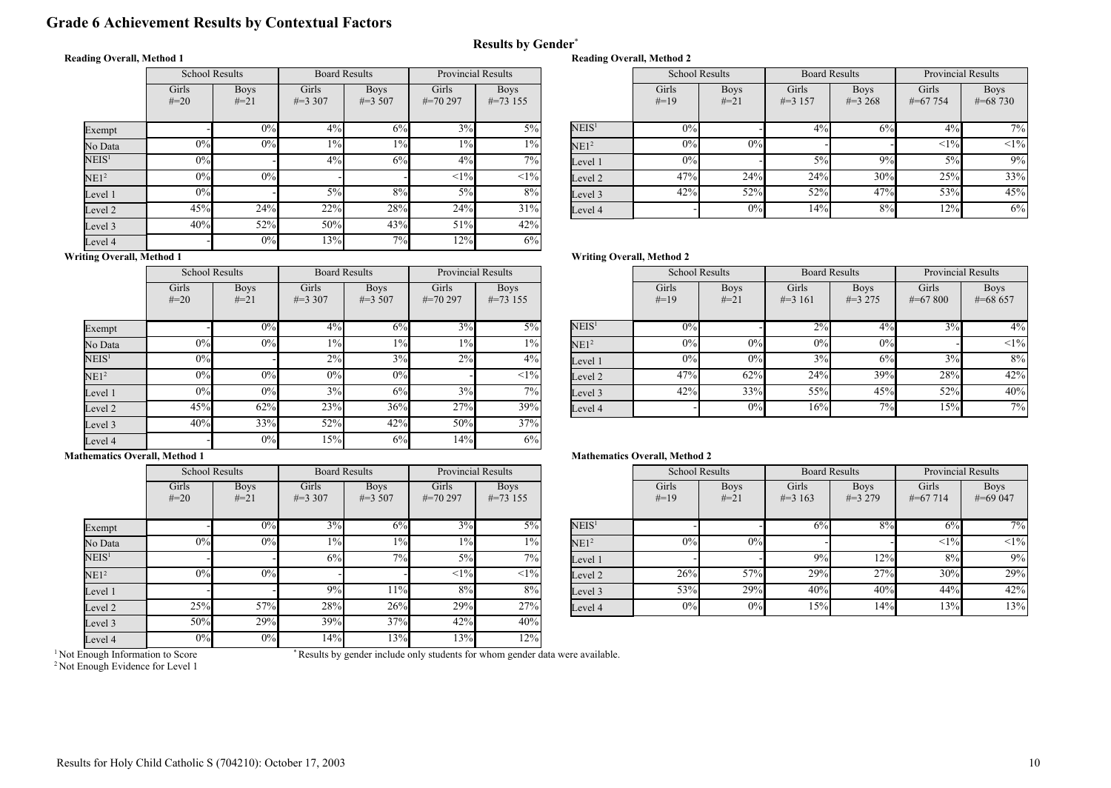# Grade 6 Achievement Results by Contextual Factors

#### Reading Overall, Method 1

|                   | <b>School Results</b> |                       | <b>Board Results</b> |                           | <b>Provincial Results</b> |                            |
|-------------------|-----------------------|-----------------------|----------------------|---------------------------|---------------------------|----------------------------|
|                   | Girls<br>$#=20$       | <b>Boys</b><br>$#=21$ | Girls<br>$\#=3,307$  | <b>Boys</b><br>$\#=3,507$ | Girls<br>$\#=70297$       | <b>Boys</b><br>$\#=73$ 155 |
| Exempt            |                       | 0%                    | $4\%$                | 6%                        | 3%                        | $5\%$                      |
| No Data           | 0%                    | 0%                    | $1\%$                | 1%                        | $1\%$                     | $1\%$                      |
| NEIS <sup>1</sup> | 0%                    |                       | 4%                   | 6%                        | 4%                        | 7%                         |
| NE1 <sup>2</sup>  | 0%                    | 0%                    |                      |                           | <1%                       | $<1\%$                     |
| Level 1           | 0%                    |                       | $5\%$                | 8%                        | 5%                        | 8%                         |
| Level 2           | 45%                   | 24%                   | 22%                  | 28%                       | 24%                       | 31%                        |
| Level 3           | 40%                   | 52%                   | 50%                  | 43%                       | 51%                       | 42%                        |
| Level 4           |                       | 0%                    | 13%                  | 7%                        | 12%                       | 6%                         |

| <b>Reading Overall, Method 2</b> |                       |  |  |  |  |  |  |
|----------------------------------|-----------------------|--|--|--|--|--|--|
|                                  | <b>School Results</b> |  |  |  |  |  |  |

|       | <b>Provincial Results</b> |                   |        | <b>School Results</b> |              | <b>Board Results</b> | <b>Provincial Results</b> |              |
|-------|---------------------------|-------------------|--------|-----------------------|--------------|----------------------|---------------------------|--------------|
| irls  | <b>Boys</b>               |                   | Girls  | <b>Boys</b>           | Girls        | <b>Boys</b>          | Girls                     | <b>Boys</b>  |
| 0.297 | $\#=73$ 155               |                   | $#=19$ | $#=21$                | $\# = 3$ 157 | $\#=3,268$           | $\# = 67$ 754             | $\#$ =68 730 |
|       |                           |                   |        |                       |              |                      |                           |              |
| 3%    | $5\%$                     | NEIS <sup>1</sup> | 0%     |                       | 4%           | 6%                   | 4%                        | 7%           |
| $1\%$ | $1\%$                     | NE1 <sup>2</sup>  | $0\%$  | 0%                    |              |                      | <1%                       | $<1\%$       |
| $4\%$ | $7\%$                     | Level 1           | $0\%$  |                       | $5\%$        | 9%                   | 5%                        | 9%           |
| <1%   | $<1\%$                    | Level 2           | 47%    | 24%                   | 24%          | 30%                  | 25%                       | 33%          |
| $5\%$ | 8%                        | Level 3           | 42%    | 52%                   | 52%          | 47%                  | 53%                       | 45%          |
| 24%   | 31%                       | Level 4           |        | 0%                    | 14%          | 8%                   | 12%                       | 6%           |
|       |                           |                   |        |                       |              |                      |                           |              |

### Writing Overall, Method 1

 $\mathbb N$ 

Exempt

|                   | <b>School Results</b> |                       | <b>Board Results</b> |                            | <b>Provincial Results</b> |                            |
|-------------------|-----------------------|-----------------------|----------------------|----------------------------|---------------------------|----------------------------|
|                   | Girls<br>$#=20$       | <b>Boys</b><br>$#=21$ | Girls<br>$\#=3,307$  | <b>Boys</b><br>$\#=3\,507$ | Girls<br>$\#=70297$       | <b>Boys</b><br>$\#=73$ 155 |
| Exempt            |                       | 0%                    | 4%                   | 6%                         | 3%                        | $5\%$                      |
| No Data           | 0%                    | 0%                    | $1\%$                | $1\%$                      | $1\%$                     | $1\%$                      |
| NEIS <sup>1</sup> | $0\%$                 |                       | 2%                   | 3%                         | 2%                        | $4\%$                      |
| NE1 <sup>2</sup>  | $0\%$                 | 0%                    | 0%                   | 0%                         |                           | $<1\%$                     |
| Level 1           | 0%                    | 0%                    | 3%                   | 6%                         | 3%                        | 7%                         |
| Level 2           | 45%                   | 62%                   | 23%                  | 36%                        | 27%                       | 39%                        |
| Level 3           | 40%                   | 33%                   | 52%                  | 42%                        | 50%                       | 37%                        |
| Level 4           |                       | 0%                    | 15%                  | 6%                         | 14%                       | 6%                         |

# Writing Overall, Method 2

Results by Gender\*

| <b>Provincial Results</b> |                            |                   | <b>School Results</b> |                       | <b>Board Results</b> |                          | <b>Provincial Results</b> |                           |
|---------------------------|----------------------------|-------------------|-----------------------|-----------------------|----------------------|--------------------------|---------------------------|---------------------------|
| irls<br>0297              | <b>Boys</b><br>$\#=73$ 155 |                   | Girls<br>$#=19$       | <b>Boys</b><br>$#=21$ | Girls<br>$\#=3$ 161  | <b>Boys</b><br>$\#=3275$ | Girls<br>$\#=67800$       | <b>Boys</b><br>$\#=68657$ |
| 3%                        | 5%                         | NEIS <sup>1</sup> | 0%                    |                       | 2%                   | 4%                       | 3%                        | $4\%$                     |
| $1\%$                     | $1\%$                      | NE1 <sup>2</sup>  | 0%                    | 0%                    | 0%                   | 0%                       |                           | $\leq 1\%$                |
| 2%                        | $4\%$                      | Level 1           | 0%                    | 0%                    | 3%                   | 6%                       | 3%                        | 8%                        |
|                           | $<1\%$                     | Level 2           | 47%                   | 62%                   | 24%                  | 39%                      | 28%                       | 42%                       |
| 3%                        | $7\%$                      | Level 3           | 42%                   | 33%                   | 55%                  | 45%                      | 52%                       | 40%                       |
| 27%                       | 39%                        | Level 4           |                       | 0%                    | 16%                  | 7%                       | 15%                       | 7%1                       |

#### Mathematics Overall, Method 1

|                   | <b>School Results</b> |                       | <b>Board Results</b> |                           | <b>Provincial Results</b> |                            |
|-------------------|-----------------------|-----------------------|----------------------|---------------------------|---------------------------|----------------------------|
|                   | Girls<br>$#=20$       | <b>Boys</b><br>$#=21$ | Girls<br>$\#=3,307$  | <b>Boys</b><br>$\#=3,507$ | Girls<br>$\#=70297$       | <b>Boys</b><br>$\#=73$ 155 |
| Exempt            |                       | 0%                    | 3%                   | 6%                        | 3%                        | $5\%$                      |
| No Data           | 0%                    | 0%                    | $1\%$                | $1\%$                     | $1\%$                     | $1\%$                      |
| $\mathrm{NEIS}^1$ |                       |                       | 6%                   | 7%                        | 5%                        | 7%                         |
| NE1 <sup>2</sup>  | 0%                    | 0%                    |                      |                           | <1%                       | $<1\%$                     |
| Level 1           |                       |                       | 9%                   | 11%                       | 8%                        | 8%                         |
| Level 2           | 25%                   | 57%                   | 28%                  | 26%                       | 29%                       | 27%                        |
| Level 3           | 50%                   | 29%                   | 39%                  | 37%                       | 42%                       | 40%                        |
| Level 4           | $0\%$                 | $0\%$                 | 14%                  | 13%                       | 13%                       | 12%                        |

#### Mathematics Overall, Method 2

| <b>Provincial Results</b> |                            |                   | <b>School Results</b> |                       | <b>Board Results</b> |                          | <b>Provincial Results</b> |                           |
|---------------------------|----------------------------|-------------------|-----------------------|-----------------------|----------------------|--------------------------|---------------------------|---------------------------|
| irls<br>0297              | <b>Boys</b><br>$\#=73$ 155 |                   | Girls<br>$#=19$       | <b>Boys</b><br>$#=21$ | Girls<br>$\#=3$ 163  | <b>Boys</b><br>$\#=3279$ | Girls<br>$\#=67714$       | <b>Boys</b><br>$\#=69047$ |
| 3%                        | $5\%$                      | NEIS <sup>1</sup> |                       |                       | 6%                   | 8%                       | 6%                        | $7\%$                     |
| $1\%$                     | $1\%$                      | NE1 <sup>2</sup>  | 0%                    | 0%                    |                      |                          | <1%                       | $<1\%$                    |
| 5%                        | $7\frac{6}{6}$             | Level 1           |                       |                       | 9%                   | 12%                      | 8%                        | 9%                        |
| <1%                       | $<1\%$                     | Level 2           | 26%                   | 57%                   | 29%                  | 27%                      | 30%                       | 29%                       |
| 8%                        | 8%                         | Level 3           | 53%                   | 29%                   | 40%                  | 40%                      | 44%                       | 42%                       |
| 29%                       | 27%                        | Level 4           | $0\%$                 | 0%                    | 15%                  | 14%                      | 13%                       | 13%                       |

<sup>1</sup> Not Enough Information to Score

\* Results by gender include only students for whom gender data were available.

<sup>2</sup> Not Enough Evidence for Level 1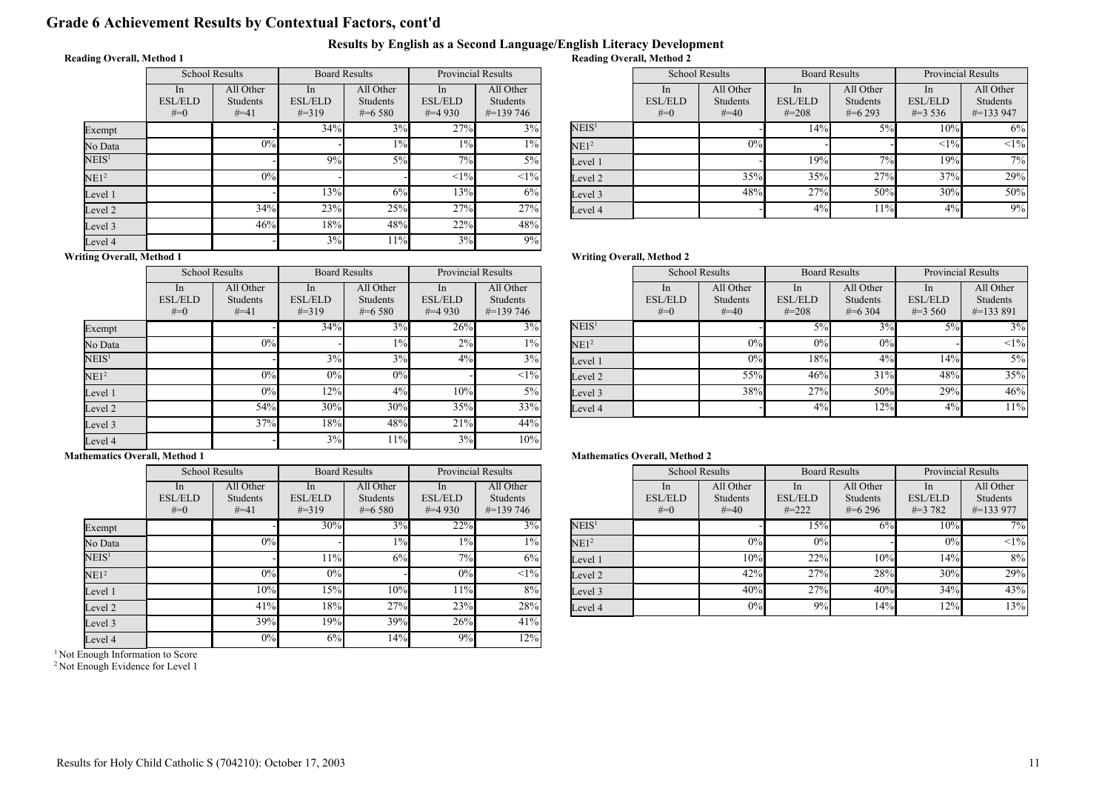# Grade 6 Achievement Results by Contextual Factors, cont'd

#### Results by English as a Second Language/English Literacy Development Reading Overall, Method 2

### Reading Overall, Method 1

|                   | <b>School Results</b>         |                                 | <b>Board Results</b>               |                                    | <b>Provincial Results</b>         |                                        |
|-------------------|-------------------------------|---------------------------------|------------------------------------|------------------------------------|-----------------------------------|----------------------------------------|
|                   | In<br><b>ESL/ELD</b><br>$#=0$ | All Other<br>Students<br>$#=41$ | In<br><b>ESL/ELD</b><br>$\# = 319$ | All Other<br>Students<br>$\#=6580$ | In<br><b>ESL/ELD</b><br>$\#=4930$ | All Other<br>Students<br>$\#$ =139 746 |
| Exempt            |                               |                                 | 34%                                | 3%                                 | 27%                               | 3%                                     |
| No Data           |                               | 0%                              |                                    | $1\%$                              | $1\%$                             | $1\%$                                  |
| NEIS <sup>1</sup> |                               |                                 | 9%                                 | $5\%$                              | 7%                                | $5\%$                                  |
| NE1 <sup>2</sup>  |                               | 0%                              |                                    |                                    | <1%                               | $<1\%$                                 |
| Level 1           |                               |                                 | 13%                                | 6%                                 | 13%                               | 6%                                     |
| Level 2           |                               | 34%                             | 23%                                | 25%                                | 27%                               | 27%                                    |
| Level 3           |                               | 46%                             | 18%                                | 48%                                | 22%                               | 48%                                    |
| Level 4           |                               |                                 | 3%                                 | 11%                                | 3%                                | 9%                                     |

| <b>Provincial Results</b> |                                  |                   | <b>School Results</b>   |                           | <b>Board Results</b>         |                         | <b>Provincial Results</b>   |                           |
|---------------------------|----------------------------------|-------------------|-------------------------|---------------------------|------------------------------|-------------------------|-----------------------------|---------------------------|
| In                        | All Other                        |                   | <sub>1</sub> n          | All Other                 | <sub>In</sub>                | All Other               | <sub>1</sub> n              | All Other                 |
| /ELD<br>4 930             | <b>Students</b><br>$\#$ =139 746 |                   | <b>ESL/ELD</b><br>$#=0$ | <b>Students</b><br>$#=40$ | <b>ESL/ELD</b><br>$\# = 208$ | Students<br>$\#$ =6.293 | <b>ESL/ELD</b><br>$\#=3536$ | Students<br>$\# = 133947$ |
| 27%                       | 3%                               | NEIS <sup>1</sup> |                         |                           | 14%                          | 5%                      | 10%                         | $6\%$                     |
| $1\%$                     | $1\%$                            | NE1 <sup>2</sup>  |                         | 0%                        |                              |                         | $<1\%$                      | $<1\%$                    |
| 7%                        | $5\%$                            | Level 1           |                         |                           | 19%                          | 7%                      | 19%                         | 7%                        |
| <1%                       | $<1\%$                           | Level 2           |                         | 35%                       | 35%                          | 27%                     | 37%                         | 29%                       |
| 13%                       | 6%                               | Level 3           |                         | 48%                       | 27%                          | 50%                     | 30%                         | 50%                       |
| 27%                       | 27%                              | Level 4           |                         |                           | 4%                           | 11%                     | 4%                          | 9%                        |

# Writing Overall, Method 1

 $\mathbf{E}$ 

|                   | <b>School Results</b>            |                                 | <b>Board Results</b>               |                                      | <b>Provincial Results</b>         |                                        |
|-------------------|----------------------------------|---------------------------------|------------------------------------|--------------------------------------|-----------------------------------|----------------------------------------|
|                   | In.<br><b>ESL/ELD</b><br>$# = 0$ | All Other<br>Students<br>$#=41$ | In<br><b>ESL/ELD</b><br>$\# = 319$ | All Other<br>Students<br>$\#$ =6.580 | In<br><b>ESL/ELD</b><br>$\#=4930$ | All Other<br>Students<br>$\#$ =139 746 |
| Exempt            |                                  |                                 | 34%                                | 3%                                   | 26%                               | 3%                                     |
| No Data           |                                  | 0%                              |                                    | $1\%$                                | 2%                                | $1\%$                                  |
| NEIS <sup>1</sup> |                                  |                                 | 3%                                 | 3%                                   | 4%                                | 3%                                     |
| NE1 <sup>2</sup>  |                                  | 0%                              | 0%                                 | 0%                                   |                                   | $<1\%$                                 |
| Level 1           |                                  | 0%                              | 12%                                | 4%                                   | 10%                               | 5%                                     |
| Level 2           |                                  | 54%                             | 30%                                | 30%                                  | 35%                               | 33%                                    |
| Level 3           |                                  | 37%                             | 18%                                | 48%                                  | 21%                               | 44%                                    |
| Level 4           |                                  |                                 | 3%                                 | 11%                                  | 3%                                | 10%                                    |

# Mathematics Overall, Method 1

|                   |                               | <b>School Results</b>           | <b>Board Results</b>                          |                                    | <b>Provincial Results</b>         |                                        |
|-------------------|-------------------------------|---------------------------------|-----------------------------------------------|------------------------------------|-----------------------------------|----------------------------------------|
|                   | In<br><b>ESL/ELD</b><br>$#=0$ | All Other<br>Students<br>$#=41$ | <sub>In</sub><br><b>ESL/ELD</b><br>$\# = 319$ | All Other<br>Students<br>$\#=6580$ | In<br><b>ESL/ELD</b><br>$\#=4930$ | All Other<br>Students<br>$\#$ =139 746 |
| Exempt            |                               |                                 | 30%                                           | 3%                                 | 22%                               | 3%                                     |
| No Data           |                               | 0%                              |                                               | $1\%$                              | $1\%$                             | $1\%$                                  |
| NEIS <sup>1</sup> |                               |                                 | 11%                                           | 6%                                 | 7%                                | 6%                                     |
| NE1 <sup>2</sup>  |                               | 0%                              | 0%                                            |                                    | $0\%$                             | $<1\%$                                 |
| Level 1           |                               | 10%                             | 15%                                           | 10%                                | 11%                               | 8%                                     |
| Level 2           |                               | 41%                             | 18%                                           | 27%                                | 23%                               | 28%                                    |
| Level 3           |                               | 39%                             | 19%                                           | 39%                                | 26%                               | 41%                                    |
| Level 4           |                               | 0%                              | 6%                                            | 14%                                | 9%                                | 12%                                    |

<sup>1</sup> Not Enough Information to Score

<sup>2</sup> Not Enough Evidence for Level 1

#### Writing Overall, Method 2

|                     | <b>Provincial Results</b>                     |                   | <b>School Results</b>                     |                                        | <b>Board Results</b>                          |                                             | <b>Provincial Results</b>                      |                                               |
|---------------------|-----------------------------------------------|-------------------|-------------------------------------------|----------------------------------------|-----------------------------------------------|---------------------------------------------|------------------------------------------------|-----------------------------------------------|
| In<br>/ELD<br>4 930 | All Other<br><b>Students</b><br>$\#$ =139 746 |                   | <sub>1</sub> n<br><b>ESL/ELD</b><br>$#=0$ | All Other<br><b>Students</b><br>$#=40$ | <sub>In</sub><br><b>ESL/ELD</b><br>$\# = 208$ | All Other<br><b>Students</b><br>$\#$ =6 304 | <sub>1</sub> n<br><b>ESL/ELD</b><br>$\#=3,560$ | All Other<br><b>Students</b><br>$\#$ =133 891 |
| 26%                 | $3\%$                                         | NEIS <sup>1</sup> |                                           |                                        | $5\%$                                         | 3%                                          | $5\%$                                          | 3%                                            |
| 2%                  | $1\%$                                         | NE1 <sup>2</sup>  |                                           | 0%                                     | 0%                                            | 0%                                          |                                                | $<1\%$                                        |
| $4\%$               | 3%                                            | Level 1           |                                           | 0%                                     | 18%                                           | 4%                                          | 14%                                            | $5\%$                                         |
|                     | <1%                                           | Level 2           |                                           | 55%                                    | 46%                                           | 31%                                         | 48%                                            | 35%                                           |
| 10%                 | $5\%$                                         | Level 3           |                                           | 38%                                    | 27%                                           | 50%                                         | 29%                                            | 46%                                           |
| 35%                 | 33%                                           | Level 4           |                                           |                                        | 4%                                            | 12%                                         | 4%                                             | 11%                                           |

#### Mathematics Overall, Method 2

| <b>Provincial Results</b> |                                               |                   | <b>School Results</b>                     |                                           | <b>Board Results</b>                           |                                      | <b>Provincial Results</b>                       |                                               |
|---------------------------|-----------------------------------------------|-------------------|-------------------------------------------|-------------------------------------------|------------------------------------------------|--------------------------------------|-------------------------------------------------|-----------------------------------------------|
| In<br>/ELD<br>4930        | All Other<br><b>Students</b><br>$\#$ =139 746 |                   | <sub>1</sub> n<br><b>ESL/ELD</b><br>$#=0$ | All Other<br><b>Students</b><br>$\# = 40$ | <sub>1</sub> n<br><b>ESL/ELD</b><br>$\# = 222$ | All Other<br>Students<br>$\#$ =6.296 | <sub>1</sub> n<br><b>ESL/ELD</b><br>$\# = 3782$ | All Other<br><b>Students</b><br>$\#$ =133 977 |
| 22%                       | $3\overline{\%}$                              | NEIS <sup>1</sup> |                                           |                                           | 15%                                            | 6%                                   | 10%                                             | $7\%$                                         |
| $1\%$                     | $1\%$ <sub>1</sub>                            | NE1 <sup>2</sup>  |                                           | 0%                                        | 0%                                             |                                      | 0%                                              | $<1\%$                                        |
| 7%                        | $6\%$                                         | Level 1           |                                           | 10%                                       | 22%                                            | 10%                                  | 14%                                             | 8%                                            |
| 0%                        | $<1\%$                                        | Level 2           |                                           | 42%                                       | 27%                                            | 28%                                  | 30%                                             | 29%                                           |
| 11%                       | $8\%$                                         | Level 3           |                                           | 40%                                       | 27%                                            | 40%                                  | 34%                                             | 43%                                           |
| 23%                       | 28%                                           | Level 4           |                                           | 0%                                        | 9%                                             | 14%                                  | 12%                                             | 13%                                           |